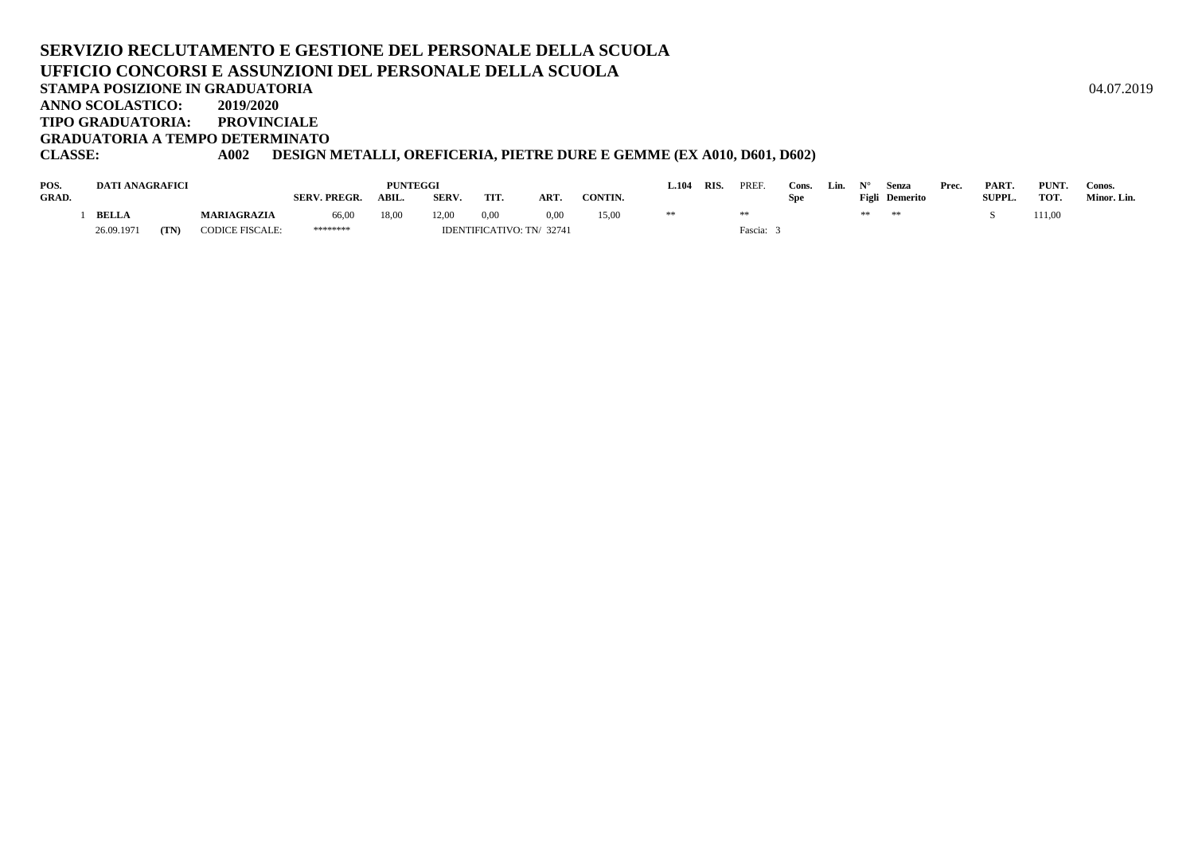#### **SERVIZIO RECLUTAMENTO E GESTIONE DEL PERSONALE DELLA SCUOLAUFFICIO CONCORSI E ASSUNZIONI DEL PERSONALE DELLA SCUOLASTAMPA POSIZIONE IN GRADUATORIA**A  $04.07.2019$ **ANNO SCOLASTICO: 2019/2020TIPO GRADUATORIA: PROVINCIALE**

**GRADUATORIA A TEMPO DETERMINATO**

# **CLASSE: A002 DESIGN METALLI, OREFICERIA, PIETRE DURE E GEMME (EX A010, D601, D602)**

| POS.         | <b>DATI ANAGRAFICI</b> |      |                        |                     | <b>PUNTEGGI</b> |       |                          |      |                | 104 | RIS | PREF    | Cons. | Lin. |    | Senza          | Prec. | PART.         | PUNT. | Conos.      |
|--------------|------------------------|------|------------------------|---------------------|-----------------|-------|--------------------------|------|----------------|-----|-----|---------|-------|------|----|----------------|-------|---------------|-------|-------------|
| <b>GRAD.</b> |                        |      |                        | <b>SERV. PREGR.</b> | ABIL            | SERV. | TIT.                     | ART  | <b>CONTIN.</b> |     |     |         | Spe   |      |    | Figli Demerito |       | <b>SUPPL.</b> | TOT.  | Minor. Lin. |
|              | <b>BELLA</b>           |      | <b>MARIAGRAZIA</b>     | 66,00               | 18,00           | 12.00 | 0,00                     | 0.00 | 15,0           | **  |     |         |       |      | ** | **             |       |               | 11,00 |             |
|              | 26.09.1971             | (TN) | <b>CODICE FISCALE:</b> | ********            |                 |       | IDENTIFICATIVO: TN/32741 |      |                |     |     | Fascia: |       |      |    |                |       |               |       |             |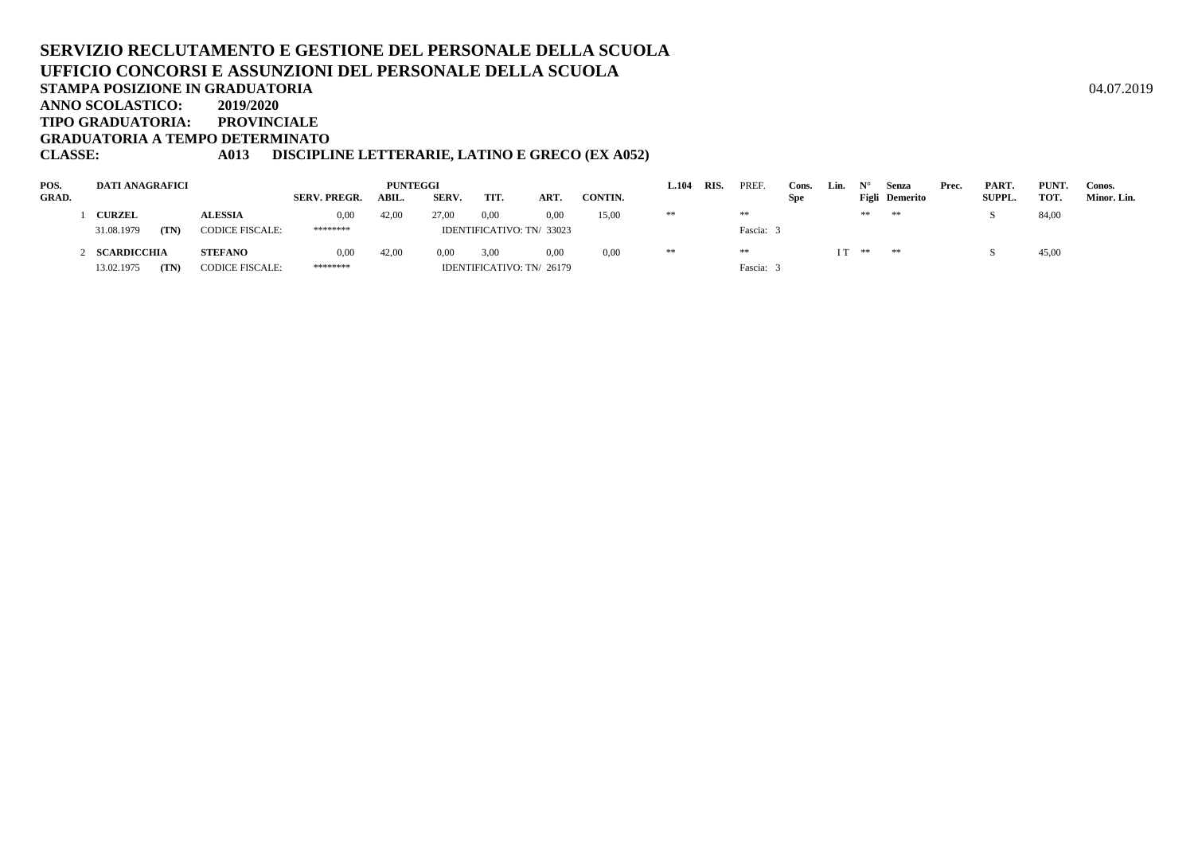#### **SERVIZIO RECLUTAMENTO E GESTIONE DEL PERSONALE DELLA SCUOLAUFFICIO CONCORSI E ASSUNZIONI DEL PERSONALE DELLA SCUOLASTAMPA POSIZIONE IN GRADUATORIA**A  $04.07.2019$ **ANNO SCOLASTICO: 2019/2020 TIPO GRADUATORIA: PROVINCIALEGRADUATORIA A TEMPO DETERMINATO**

# **CLASSE: A013 DISCIPLINE LETTERARIE, LATINO E GRECO (EX A052)**

| POS.         | DATI ANAGRAFICI    |                        |                     | <b>PUNTEGGI</b> |       |      |                           |         | .104 | RIS. | <b>PREF</b> | Cons.      | Lin. |    | Senza                 | Prec. | PART.         | PUNT. | Conos.      |
|--------------|--------------------|------------------------|---------------------|-----------------|-------|------|---------------------------|---------|------|------|-------------|------------|------|----|-----------------------|-------|---------------|-------|-------------|
| <b>GRAD.</b> |                    |                        | <b>SERV. PREGR.</b> | ABIL.           | SERV. | TIT. | ART.                      | CONTIN. |      |      |             | <b>Spe</b> |      |    | <b>Figli</b> Demerito |       | <b>SUPPL.</b> | TOT.  | Minor. Lin. |
|              | <b>CURZEL</b>      | <b>ALESSIA</b>         | 0,00                | 42,00           | 27.00 | 0,00 | 0.00                      | 15,00   | **   |      | $\pm\pm$    |            |      | ** | **                    |       |               | 84,00 |             |
|              | 31.08.1979<br>(TN) | <b>CODICE FISCALE:</b> | ********            |                 |       |      | IDENTIFICATIVO: TN/ 33023 |         |      |      | Fascia:     |            |      |    |                       |       |               |       |             |
|              | SCARDICCHIA        | <b>STEFANO</b>         | 0,00                | 42.00           | 0.00  | 3,00 | 0.00                      | 0.00    | **   |      | **          |            | I T  | ** | **                    |       |               | 45,00 |             |
|              | 13.02.1975<br>(TN) | <b>CODICE FISCALE:</b> | ********            |                 |       |      | IDENTIFICATIVO: TN/ 26179 |         |      |      | Fascia:     |            |      |    |                       |       |               |       |             |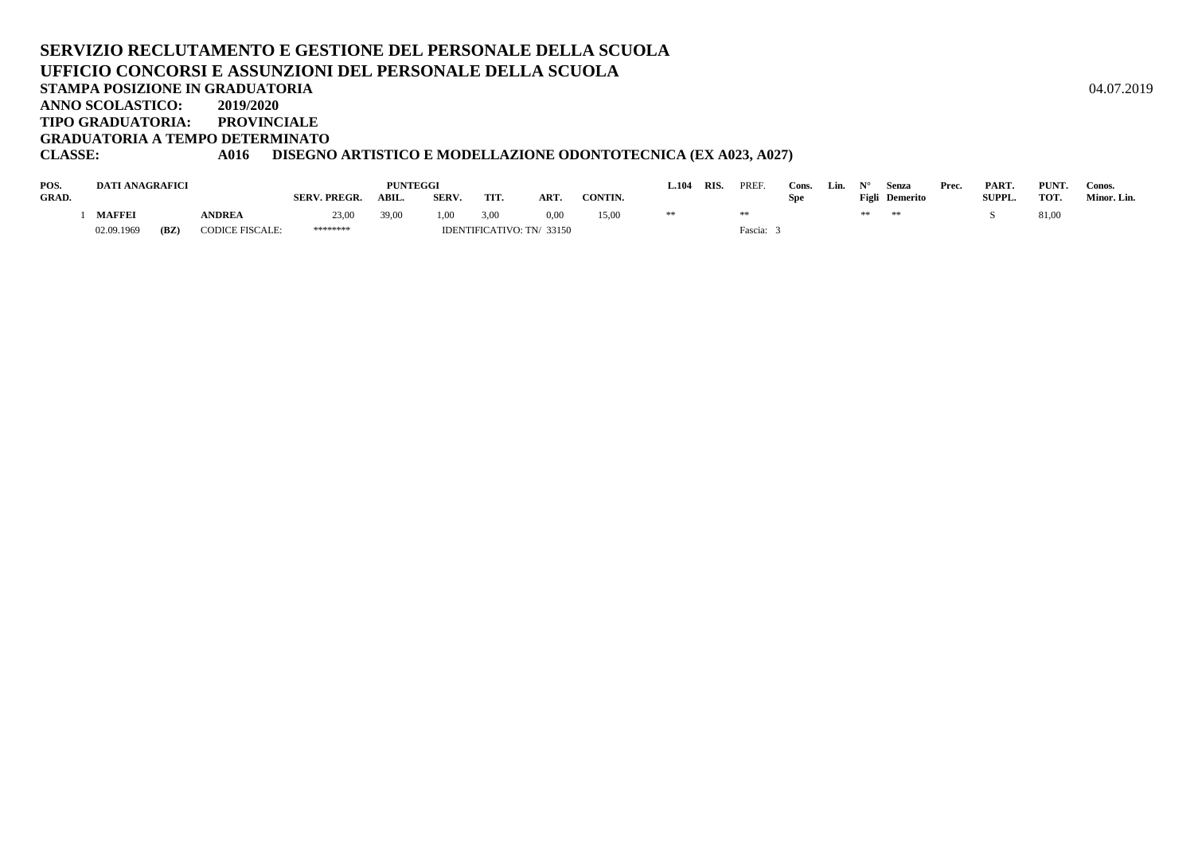#### **SERVIZIO RECLUTAMENTO E GESTIONE DEL PERSONALE DELLA SCUOLAUFFICIO CONCORSI E ASSUNZIONI DEL PERSONALE DELLA SCUOLASTAMPA POSIZIONE IN GRADUATORIA**A  $04.07.2019$ **ANNO SCOLASTICO: 2019/2020TIPO GRADUATORIA: PROVINCIALE**

**GRADUATORIA A TEMPO DETERMINATO**

# **CLASSE: A016 DISEGNO ARTISTICO E MODELLAZIONE ODONTOTECNICA (EX A023, A027)**

| POS.  | DATI ANAGRAFICI |      |                        |                     | PUNTEGGI |       |      |                          |                | L.104 | <b>RIS</b> | PREF    | Cons. | Lin. | $N^{\circ}$ | Senza          | Prec. | PART.         | PUNT. | Conos.      |
|-------|-----------------|------|------------------------|---------------------|----------|-------|------|--------------------------|----------------|-------|------------|---------|-------|------|-------------|----------------|-------|---------------|-------|-------------|
| GRAD. |                 |      |                        | <b>SERV. PREGR.</b> | ABIL.    | SERV. | TIT. | ART                      | <b>CONTIN.</b> |       |            |         | Spe   |      |             | Figli Demerito |       | <b>SUPPL.</b> | TOT.  | Minor. Lin. |
|       | <b>MAFFEI</b>   |      | <b>ANDREA</b>          | 23,00               | 39,00    | 1.00  | 3,00 | 0.00                     | 15,00          |       |            |         |       |      | **          | **             |       |               | 81,00 |             |
|       | 02.09.1969      | (BZ) | <b>CODICE FISCALE:</b> | ********            |          |       |      | IDENTIFICATIVO: TN/33150 |                |       |            | Fascia: |       |      |             |                |       |               |       |             |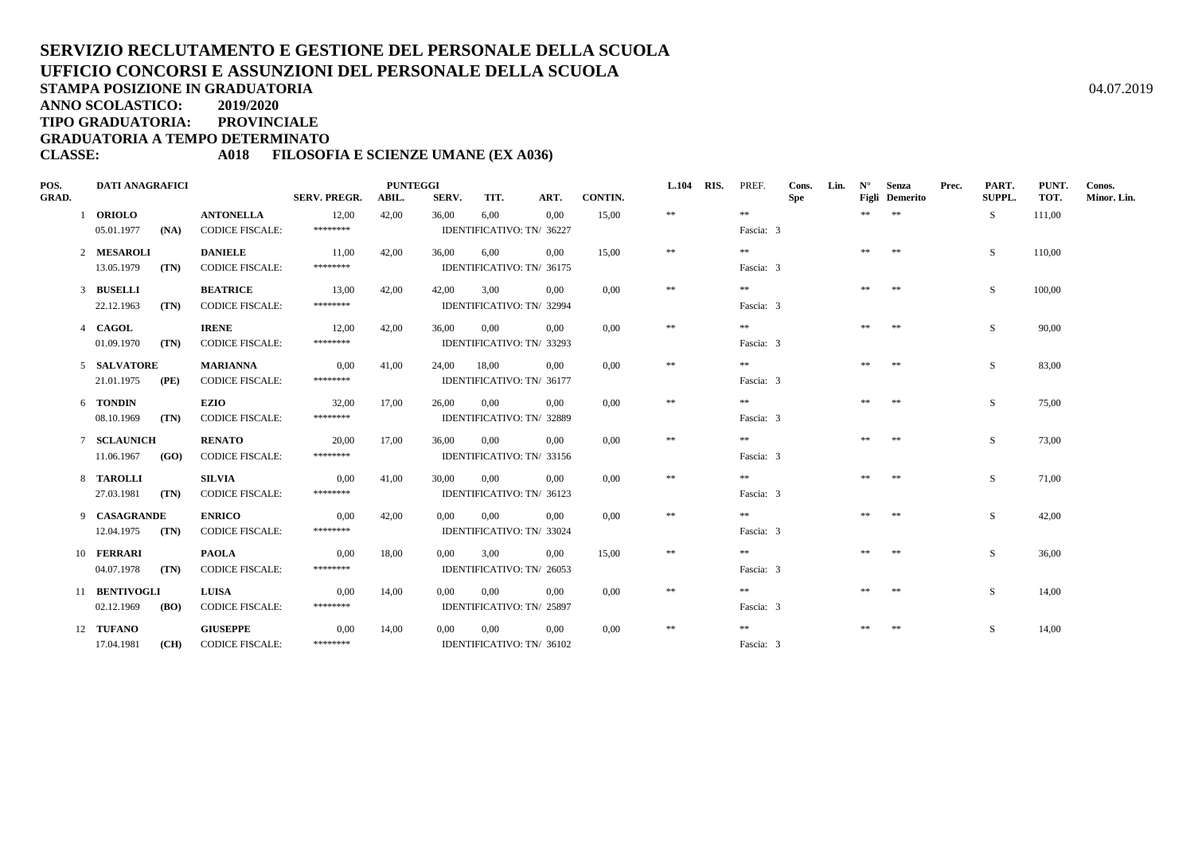**TIPO GRADUATORIA: PROVINCIALE**

**GRADUATORIA A TEMPO DETERMINATO**

#### **CLASSE: A018 FILOSOFIA E SCIENZE UMANE (EX A036)**

| POS.         | <b>DATI ANAGRAFICI</b> |               |                        |                     | <b>PUNTEGGI</b> |             |      |                           |         | <b>L.104</b> | RIS. | PREF.     | Cons. | Lin. | $N^{\circ}$ | Senza                 | Prec. | PART.  | PUNT.  | Conos.      |
|--------------|------------------------|---------------|------------------------|---------------------|-----------------|-------------|------|---------------------------|---------|--------------|------|-----------|-------|------|-------------|-----------------------|-------|--------|--------|-------------|
| <b>GRAD.</b> |                        |               |                        | <b>SERV. PREGR.</b> | ABIL.           | SERV.       | TIT. | ART.                      | CONTIN. |              |      |           | Spe   |      |             | <b>Figli</b> Demerito |       | SUPPL. | TOT.   | Minor. Lin. |
|              | 1 ORIOLO               |               | <b>ANTONELLA</b>       | 12,00               | 42,00           | 36,00       | 6,00 | 0.00                      | 15,00   | $\ast\ast$   |      | **        |       |      | $***$ **    |                       |       | S      | 111,00 |             |
|              | 05.01.1977             | (NA)          | CODICE FISCALE:        | ********            |                 |             |      | IDENTIFICATIVO: TN/ 36227 |         |              |      | Fascia: 3 |       |      |             |                       |       |        |        |             |
|              | 2 MESAROLI             |               | <b>DANIELE</b>         | 11,00               | 42,00           | 36,00       | 6.00 | 0.00                      | 15.00   | $\pm\pm$     |      | **        |       |      | ** **       |                       |       | S.     | 110,00 |             |
|              | 13.05.1979             | (TN)          | <b>CODICE FISCALE:</b> | ********            |                 |             |      | IDENTIFICATIVO: TN/ 36175 |         |              |      | Fascia: 3 |       |      |             |                       |       |        |        |             |
|              | 3 BUSELLI              |               | <b>BEATRICE</b>        | 13,00               | 42,00           | 42,00       | 3.00 | 0.00                      | 0.00    | $\ast\ast$   |      | **        |       |      | ** **       |                       |       | S.     | 100,00 |             |
|              | 22.12.1963             | (TN)          | <b>CODICE FISCALE:</b> | ********            |                 |             |      | IDENTIFICATIVO: TN/ 32994 |         |              |      | Fascia: 3 |       |      |             |                       |       |        |        |             |
|              | 4 CAGOL                |               | <b>IRENE</b>           | 12,00               | 42,00           | 36.00 0.00  |      | 0.00                      | 0.00    | $\pm\pm$     |      | **        |       |      | ** **       |                       |       | S.     | 90,00  |             |
|              | 01.09.1970             | (TN)          | <b>CODICE FISCALE:</b> | ********            |                 |             |      | IDENTIFICATIVO: TN/ 33293 |         |              |      | Fascia: 3 |       |      |             |                       |       |        |        |             |
|              | 5 SALVATORE            |               | <b>MARIANNA</b>        | 0,00                | 41,00           | 24,00 18,00 |      | 0.00                      | 0,00    | $\ast\ast$   |      | $* *$     |       |      | ** **       |                       |       | S.     | 83,00  |             |
|              | 21.01.1975             | (PE)          | <b>CODICE FISCALE:</b> | ********            |                 |             |      | IDENTIFICATIVO: TN/ 36177 |         |              |      | Fascia: 3 |       |      |             |                       |       |        |        |             |
|              | 6 TONDIN               |               | <b>EZIO</b>            | 32,00               | 17,00           | 26.00 0.00  |      | 0.00                      | 0.00    | $\ast$       |      | **        |       |      | **          | **                    |       | S.     | 75,00  |             |
|              | 08.10.1969             | (TN)          | <b>CODICE FISCALE:</b> | ********            |                 |             |      | IDENTIFICATIVO: TN/ 32889 |         |              |      | Fascia: 3 |       |      |             |                       |       |        |        |             |
|              | 7 SCLAUNICH            |               | <b>RENATO</b>          | 20,00               | 17,00           | 36.00 0.00  |      | 0,00                      | 0.00    | $\ast\ast$   |      | **        |       |      | **          | **                    |       | S.     | 73,00  |             |
|              | 11.06.1967             | (GO)          | <b>CODICE FISCALE:</b> | ********            |                 |             |      | IDENTIFICATIVO: TN/ 33156 |         |              |      | Fascia: 3 |       |      |             |                       |       |        |        |             |
|              | 8 TAROLLI              |               | <b>SILVIA</b>          | 0,00                | 41,00           | 30.00       | 0.00 | 0.00                      | 0.00    | $\ast\ast$   |      | **        |       |      | **          | **                    |       | S.     | 71,00  |             |
|              | 27.03.1981             | (TN)          | <b>CODICE FISCALE:</b> | ********            |                 |             |      | IDENTIFICATIVO: TN/ 36123 |         |              |      | Fascia: 3 |       |      |             |                       |       |        |        |             |
|              | 9 CASAGRANDE           |               | <b>ENRICO</b>          | 0,00                | 42,00           | $0.00\,$    | 0.00 | 0.00                      | 0.00    | $\ast\ast$   |      | **        |       |      | ** **       |                       |       | S.     | 42,00  |             |
|              | $12.04.1975$ (TN)      |               | <b>CODICE FISCALE:</b> | ********            |                 |             |      | IDENTIFICATIVO: TN/ 33024 |         |              |      | Fascia: 3 |       |      |             |                       |       |        |        |             |
|              | 10 FERRARI             |               | <b>PAOLA</b>           | 0.00                | 18,00           | 0.00        | 3.00 | 0.00                      | 15.00   | $\ast\ast$   |      | **        |       |      | ** **       |                       |       | S.     | 36,00  |             |
|              | 04.07.1978             | (TN)          | <b>CODICE FISCALE:</b> | ********            |                 |             |      | IDENTIFICATIVO: TN/ 26053 |         |              |      | Fascia: 3 |       |      |             |                       |       |        |        |             |
|              | 11 BENTIVOGLI          |               | <b>LUISA</b>           | 0,00                | 14,00           | $0.00\,$    | 0.00 | 0.00                      | 0.00    | $\ast\ast$   |      | **        |       |      | ** **       |                       |       | S.     | 14,00  |             |
|              | 02.12.1969             | ( <b>BO</b> ) | <b>CODICE FISCALE:</b> | ********            |                 |             |      | IDENTIFICATIVO: TN/ 25897 |         |              |      | Fascia: 3 |       |      |             |                       |       |        |        |             |
|              | 12 TUFANO              |               | <b>GIUSEPPE</b>        | 0,00                | 14,00           | $0.00\,$    | 0,00 | $0.00\,$                  | 0,00    | $\ast\ast$   |      | **        |       |      | **          | **                    |       | S.     | 14,00  |             |
|              | 17.04.1981             |               | (CH) CODICE FISCALE:   | ********            |                 |             |      | IDENTIFICATIVO: TN/ 36102 |         |              |      | Fascia: 3 |       |      |             |                       |       |        |        |             |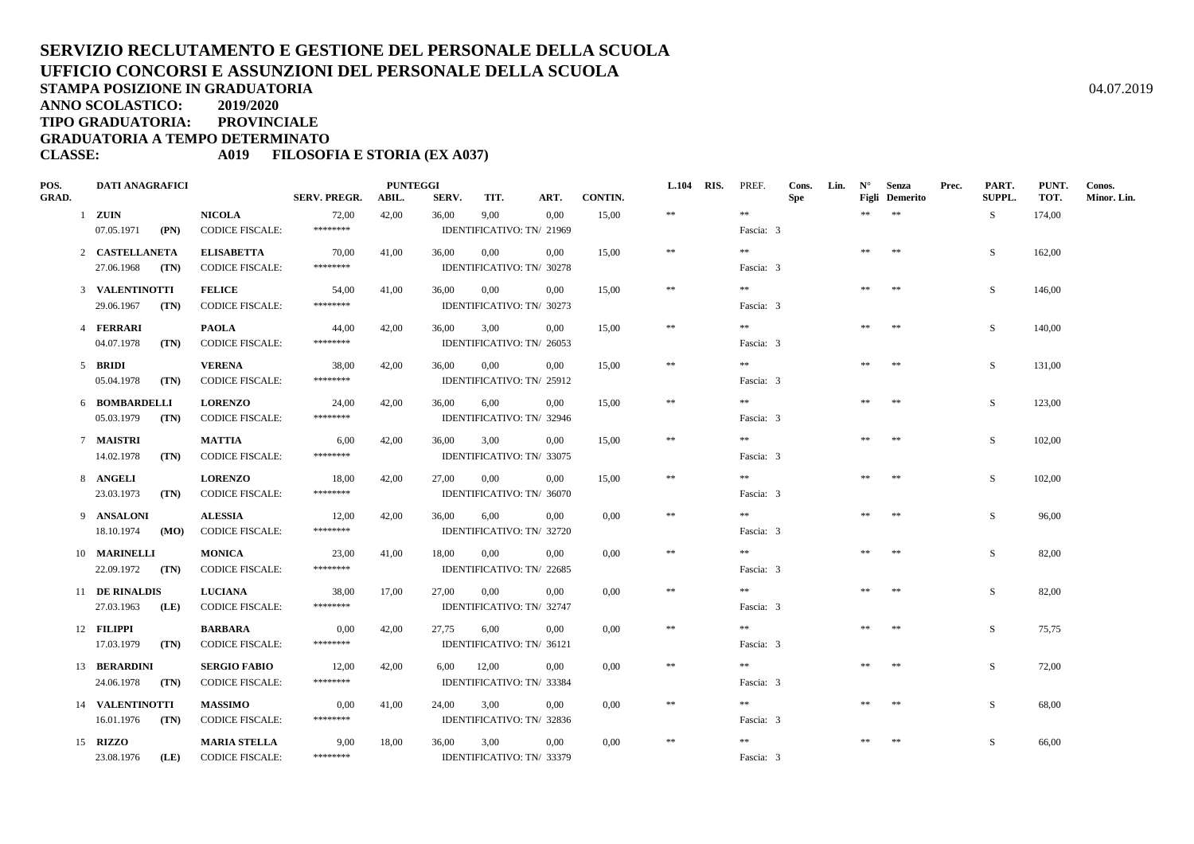**ANNO SCOLASTICO:2019/2020**

**TIPO GRADUATORIA: PROVINCIALE**

**GRADUATORIA A TEMPO DETERMINATO**

#### **CLASSE: A019 FILOSOFIA E STORIA (EX A037)**

| POS.         | <b>DATI ANAGRAFICI</b>          |                                               |                     | <b>PUNTEGGI</b> |       |                                   |          |         | <b>L.104 RIS.</b> | PREF.     | Cons.      | Lin. | $N^{\circ}$ | Senza                 | Prec. | PART.  | PUNT.  | Conos.      |
|--------------|---------------------------------|-----------------------------------------------|---------------------|-----------------|-------|-----------------------------------|----------|---------|-------------------|-----------|------------|------|-------------|-----------------------|-------|--------|--------|-------------|
| <b>GRAD.</b> |                                 |                                               | <b>SERV. PREGR.</b> | ABIL.           | SERV. | TIT.                              | ART.     | CONTIN. |                   |           | <b>Spe</b> |      |             | <b>Figli</b> Demerito |       | SUPPL. | TOT.   | Minor. Lin. |
|              | $1$ ZUIN                        | <b>NICOLA</b>                                 | 72,00               | 42,00           | 36,00 | 9,00                              | 0,00     | 15,00   | $\pm\pm$          | $\pm\pm$  |            |      | **          | $\pm\pm$              |       | S.     | 174,00 |             |
|              | 07.05.1971<br>(PN)              | <b>CODICE FISCALE:</b>                        | ********            |                 |       | IDENTIFICATIVO: TN/ 21969         |          |         |                   | Fascia: 3 |            |      |             |                       |       |        |        |             |
|              | 2 CASTELLANETA                  | <b>ELISABETTA</b>                             | 70,00               | 41,00           | 36,00 | 0,00                              | 0.00     | 15,00   | $\pm\pm$          | **        |            |      | **          | **                    |       | S.     | 162,00 |             |
|              | 27.06.1968<br>(TN)              | <b>CODICE FISCALE:</b>                        | ********            |                 |       | IDENTIFICATIVO: TN/ 30278         |          |         |                   | Fascia: 3 |            |      |             |                       |       |        |        |             |
|              | 3 VALENTINOTTI                  | <b>FELICE</b>                                 | 54,00               | 41,00           | 36,00 | $0.00\,$                          | 0,00     | 15,00   | $\ast$            | $\pm\pm$  |            |      | **          | $\pm\pm$              |       | S      | 146,00 |             |
|              | 29.06.1967<br>(TN)              | <b>CODICE FISCALE:</b>                        | ********            |                 |       | IDENTIFICATIVO: TN/ 30273         |          |         |                   | Fascia: 3 |            |      |             |                       |       |        |        |             |
|              |                                 |                                               |                     |                 |       |                                   |          |         | $\ast\ast$        | $\pm\pm$  |            |      | **          | **                    |       |        |        |             |
|              | 4 FERRARI<br>04.07.1978<br>(TN) | <b>PAOLA</b><br><b>CODICE FISCALE:</b>        | 44,00<br>********   | 42,00           | 36,00 | 3,00<br>IDENTIFICATIVO: TN/ 26053 | 0.00     | 15.00   |                   | Fascia: 3 |            |      |             |                       |       | S      | 140.00 |             |
|              |                                 |                                               |                     |                 |       |                                   |          |         |                   |           |            |      |             |                       |       |        |        |             |
|              | 5 BRIDI                         | <b>VERENA</b>                                 | 38.00               | 42,00           | 36,00 | $0.00\,$                          | 0.00     | 15.00   | $\ast$            | $\pm\pm$  |            |      | **          | **                    |       | S      | 131,00 |             |
|              | 05.04.1978<br>(TN)              | <b>CODICE FISCALE:</b>                        | ********            |                 |       | IDENTIFICATIVO: TN/ 25912         |          |         |                   | Fascia: 3 |            |      |             |                       |       |        |        |             |
|              | 6 BOMBARDELLI                   | <b>LORENZO</b>                                | 24,00               | 42,00           | 36,00 | 6,00                              | 0.00     | 15,00   | $***$             | $\pm\pm$  |            |      | **          | $**$                  |       | S      | 123,00 |             |
|              | 05.03.1979<br>(TN)              | <b>CODICE FISCALE:</b>                        | ********            |                 |       | IDENTIFICATIVO: TN/ 32946         |          |         |                   | Fascia: 3 |            |      |             |                       |       |        |        |             |
|              | 7 MAISTRI                       | <b>MATTIA</b>                                 | 6,00                | 42,00           | 36,00 | 3,00                              | 0.00     | 15,00   | $\ast\ast$        | **        |            |      | **          | **                    |       | S.     | 102,00 |             |
|              | 14.02.1978<br>(TN)              | <b>CODICE FISCALE:</b>                        | ********            |                 |       | IDENTIFICATIVO: TN/ 33075         |          |         |                   | Fascia: 3 |            |      |             |                       |       |        |        |             |
|              | 8 ANGELI                        | <b>LORENZO</b>                                | 18,00               | 42,00           | 27,00 | $0.00\,$                          | $0.00\,$ | 15,00   | $\ast\ast$        | $* *$     |            |      | **          | $\pm\pm$              |       | S      | 102,00 |             |
|              | 23.03.1973<br>(TN)              | <b>CODICE FISCALE:</b>                        | ********            |                 |       | IDENTIFICATIVO: TN/ 36070         |          |         |                   | Fascia: 3 |            |      |             |                       |       |        |        |             |
|              |                                 |                                               |                     |                 |       |                                   |          |         |                   | $* *$     |            |      |             |                       |       |        |        |             |
|              | 9 ANSALONI                      | <b>ALESSIA</b>                                | 12,00<br>********   | 42,00           | 36,00 | 6,00                              | 0,00     | 0,00    | $\ast\ast$        |           |            |      | **          | **                    |       | S      | 96,00  |             |
|              | 18.10.1974<br>(MO)              | <b>CODICE FISCALE:</b>                        |                     |                 |       | IDENTIFICATIVO: TN/ 32720         |          |         |                   | Fascia: 3 |            |      |             |                       |       |        |        |             |
|              | 10 MARINELLI                    | <b>MONICA</b>                                 | 23,00               | 41,00           | 18,00 | $0.00\,$                          | $0.00\,$ | 0,00    | $\ast$            | $\pm\pm$  |            |      | $\pm\pm$    | $\pm\pm$              |       | S      | 82,00  |             |
|              | 22.09.1972 (TN)                 | <b>CODICE FISCALE:</b>                        | ********            |                 |       | IDENTIFICATIVO: TN/ 22685         |          |         |                   | Fascia: 3 |            |      |             |                       |       |        |        |             |
|              | 11 DE RINALDIS                  | <b>LUCIANA</b>                                | 38,00               | 17,00           | 27,00 | 0,00                              | 0.00     | 0.00    | $\ast\ast$        | **        |            |      | **          | **                    |       | S      | 82,00  |             |
|              | 27.03.1963<br>(LE)              | <b>CODICE FISCALE:</b>                        | ********            |                 |       | IDENTIFICATIVO: TN/ 32747         |          |         |                   | Fascia: 3 |            |      |             |                       |       |        |        |             |
|              | 12 FILIPPI                      | <b>BARBARA</b>                                | 0,00                | 42,00           | 27,75 | 6,00                              | 0.00     | 0,00    | $\ast\ast$        | $\pm\pm$  |            |      | **          | $**$                  |       | S      | 75,75  |             |
|              | 17.03.1979<br>(TN)              | <b>CODICE FISCALE:</b>                        | ********            |                 |       | IDENTIFICATIVO: TN/ 36121         |          |         |                   | Fascia: 3 |            |      |             |                       |       |        |        |             |
|              |                                 |                                               |                     |                 |       |                                   | 0.00     |         | $\ast\ast$        | $* *$     |            |      | **          | $\pm\pm$              |       | S      | 72,00  |             |
|              | 13 BERARDINI<br>24.06.1978 (TN) | <b>SERGIO FABIO</b><br><b>CODICE FISCALE:</b> | 12,00<br>********   | 42,00           | 6,00  | 12,00<br>IDENTIFICATIVO: TN/33384 |          | 0,00    |                   | Fascia: 3 |            |      |             |                       |       |        |        |             |
|              |                                 |                                               |                     |                 |       |                                   |          |         |                   |           |            |      |             |                       |       |        |        |             |
|              | 14 VALENTINOTTI                 | <b>MASSIMO</b>                                | 0,00                | 41,00           | 24,00 | 3,00                              | 0,00     | 0.00    | $\pm\pm$          | **        |            |      | **          | $\pm\pm$              |       | S.     | 68.00  |             |
|              | 16.01.1976<br>(TN)              | <b>CODICE FISCALE:</b>                        | ********            |                 |       | IDENTIFICATIVO: TN/ 32836         |          |         |                   | Fascia: 3 |            |      |             |                       |       |        |        |             |
|              | 15 <b>RIZZO</b>                 | <b>MARIA STELLA</b>                           | 9,00                | 18,00           | 36,00 | 3,00                              | $0.00\,$ | 0,00    | $\ast\ast$        | $\pm\pm$  |            |      | $\pm\pm$    | $\pm\pm$              |       | S      | 66,00  |             |
|              | 23.08.1976<br>(LE)              | <b>CODICE FISCALE:</b>                        | ********            |                 |       | IDENTIFICATIVO: TN/ 33379         |          |         |                   | Fascia: 3 |            |      |             |                       |       |        |        |             |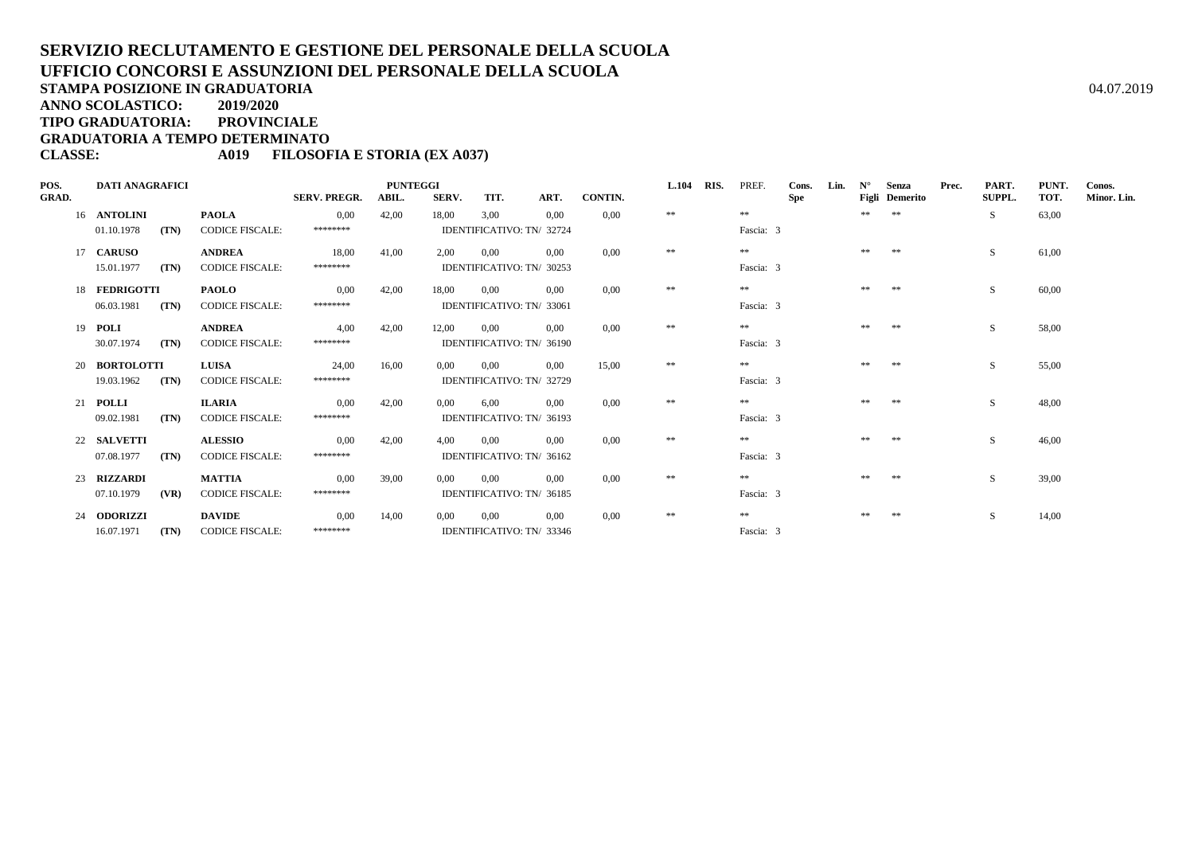**ANNO SCOLASTICO:2019/2020**

**TIPO GRADUATORIA: PROVINCIALE**

**GRADUATORIA A TEMPO DETERMINATO**

### **CLASSE: A019 FILOSOFIA E STORIA (EX A037)**

| POS.         | <b>DATI ANAGRAFICI</b> |      |                        | <b>PUNTEGGI</b><br><b>SERV. PREGR.</b><br>SERV.<br>CONTIN.<br>TIT.<br>ART.<br>ABIL. |       |       |                           |      |       | <b>L.104</b> | RIS. | PREF.     | Cons. | Lin. | $N^{\circ}$ | Senza          | Prec. | PART.  | PUNT. | Conos.      |
|--------------|------------------------|------|------------------------|-------------------------------------------------------------------------------------|-------|-------|---------------------------|------|-------|--------------|------|-----------|-------|------|-------------|----------------|-------|--------|-------|-------------|
| <b>GRAD.</b> |                        |      |                        |                                                                                     |       |       |                           |      |       |              |      |           | Spe   |      |             | Figli Demerito |       | SUPPL. | TOT.  | Minor. Lin. |
|              | 16 ANTOLINI            |      | <b>PAOLA</b>           | 0.00                                                                                | 42,00 | 18,00 | 3.00                      | 0,00 | 0.00  | $\pm\pm$     |      | **        |       |      | **          | **             |       | S.     | 63,00 |             |
|              | 01.10.1978             | (TN) | <b>CODICE FISCALE:</b> | ********                                                                            |       |       | IDENTIFICATIVO: TN/ 32724 |      |       |              |      | Fascia: 3 |       |      |             |                |       |        |       |             |
|              | 17 CARUSO              |      | <b>ANDREA</b>          | 18.00                                                                               | 41,00 | 2.00  | 0.00                      | 0.00 | 0.00  | **           |      | $**$      |       |      | **          | **             |       | S.     | 61,00 |             |
|              | 15.01.1977             | (TN) | <b>CODICE FISCALE:</b> | ********                                                                            |       |       | IDENTIFICATIVO: TN/ 30253 |      |       |              |      | Fascia: 3 |       |      |             |                |       |        |       |             |
|              | 18 FEDRIGOTTI          |      | <b>PAOLO</b>           | 0.00                                                                                | 42,00 | 18,00 | 0.00                      | 0.00 | 0.00  | $\pm\pm$     |      | $**$      |       |      | ** **       |                |       | S      | 60,00 |             |
|              | 06.03.1981             | (TN) | <b>CODICE FISCALE:</b> | ********                                                                            |       |       | IDENTIFICATIVO: TN/ 33061 |      |       |              |      | Fascia: 3 |       |      |             |                |       |        |       |             |
|              | 19 <b>POLI</b>         |      | <b>ANDREA</b>          | 4,00                                                                                | 42,00 | 12,00 | 0,00                      | 0.00 | 0.00  | **           |      | $**$      |       |      | **          | **             |       | S.     | 58,00 |             |
|              | 30.07.1974             | (TN) | <b>CODICE FISCALE:</b> | ********                                                                            |       |       | IDENTIFICATIVO: TN/ 36190 |      |       |              |      | Fascia: 3 |       |      |             |                |       |        |       |             |
|              | 20 BORTOLOTTI          |      | <b>LUISA</b>           | 24,00                                                                               | 16.00 | 0.00  | $0.00\,$                  | 0.00 | 15.00 | $\pm\pm$     |      | **        |       |      | **          | **             |       | S      | 55,00 |             |
|              | 19.03.1962             | (TN) | <b>CODICE FISCALE:</b> | ********                                                                            |       |       | IDENTIFICATIVO: TN/ 32729 |      |       |              |      | Fascia: 3 |       |      |             |                |       |        |       |             |
|              | 21 POLLI               |      | <b>ILARIA</b>          | 0.00                                                                                | 42.00 | 0.00  | 6.00                      | 0.00 | 0.00  | **           |      | **        |       |      | **          | 米米             |       | S.     | 48,00 |             |
|              | 09.02.1981             | (TN) | <b>CODICE FISCALE:</b> | ********                                                                            |       |       | IDENTIFICATIVO: TN/ 36193 |      |       |              |      | Fascia: 3 |       |      |             |                |       |        |       |             |
|              | 22 SALVETTI            |      | <b>ALESSIO</b>         | 0.00                                                                                | 42,00 | 4.00  | 0,00                      | 0.00 | 0.00  | **           |      | **        |       |      | **          | **             |       | S      | 46,00 |             |
|              | 07.08.1977             | (TN) | <b>CODICE FISCALE:</b> | ********                                                                            |       |       | IDENTIFICATIVO: TN/ 36162 |      |       |              |      | Fascia: 3 |       |      |             |                |       |        |       |             |
|              | 23 RIZZARDI            |      | <b>MATTIA</b>          | 0.00                                                                                | 39,00 | 0.00  | 0.00                      | 0.00 | 0.00  | $\pm\pm$     |      | **        |       |      | **          | **             |       | S.     | 39,00 |             |
|              | 07.10.1979             | (VR) | <b>CODICE FISCALE:</b> | ********                                                                            |       |       | IDENTIFICATIVO: TN/ 36185 |      |       |              |      | Fascia: 3 |       |      |             |                |       |        |       |             |
|              | 24 ODORIZZI            |      | <b>DAVIDE</b>          | 0.00                                                                                | 14,00 | 0.00  | 0,00                      | 0,00 | 0.00  | $\pm\pm$     |      | **        |       |      | **          | **             |       | S      | 14,00 |             |
|              | 16.07.1971             | (TN) | <b>CODICE FISCALE:</b> | ********                                                                            |       |       | IDENTIFICATIVO: TN/ 33346 |      |       |              |      | Fascia: 3 |       |      |             |                |       |        |       |             |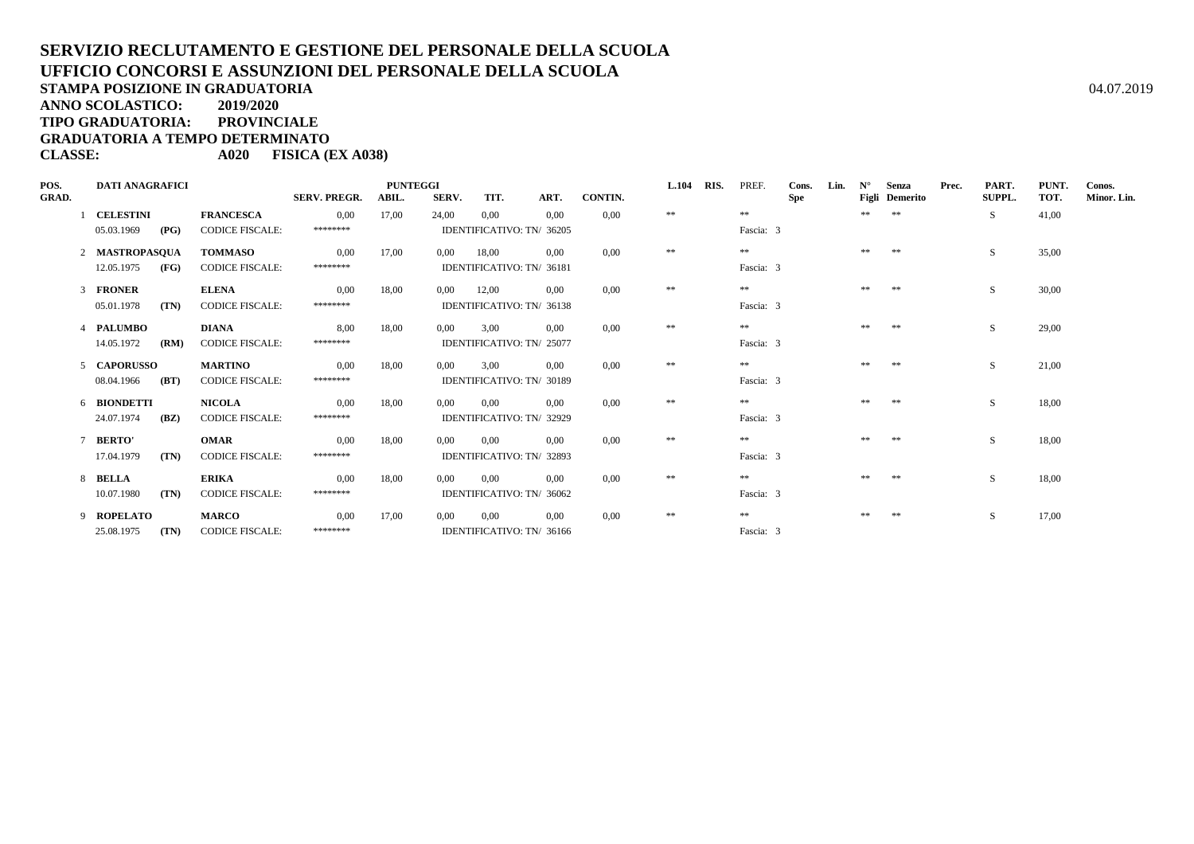**ANNO SCOLASTICO:2019/2020**

**TIPO GRADUATORIA: PROVINCIALE**

**GRADUATORIA A TEMPO DETERMINATO**

**CLASSE: A020 FISICA (EX A038)**

| POS.<br><b>GRAD.</b> | <b>DATI ANAGRAFICI</b> |                        | <b>SERV. PREGR.</b> | <b>PUNTEGGI</b><br>ABIL. | SERV.    | TIT.                      | ART. | CONTIN. | L.104 RIS. | PREF.     | Cons.<br><b>Spe</b> | Lin. | $N^{\circ}$ | Senza<br>Figli Demerito | Prec. | PART.<br><b>SUPPL.</b> | PUNT.<br>TOT. | Conos.<br>Minor. Lin. |
|----------------------|------------------------|------------------------|---------------------|--------------------------|----------|---------------------------|------|---------|------------|-----------|---------------------|------|-------------|-------------------------|-------|------------------------|---------------|-----------------------|
|                      | <b>CELESTINI</b>       | <b>FRANCESCA</b>       | 0,00                | 17,00                    | 24,00    | 0,00                      | 0.00 | 0.00    | **         | **        |                     |      | **          | **                      |       | S                      | 41,00         |                       |
|                      | (PG)<br>05.03.1969     | <b>CODICE FISCALE:</b> | ********            |                          |          | IDENTIFICATIVO: TN/ 36205 |      |         |            | Fascia: 3 |                     |      |             |                         |       |                        |               |                       |
|                      | 2 MASTROPASOUA         | <b>TOMMASO</b>         | 0.00                | 17,00                    | 0.00     | 18.00                     | 0.00 | 0.00    | $\pm\pm$   | $**$      |                     |      | **          | **                      |       | S                      | 35,00         |                       |
|                      | 12.05.1975<br>(FG)     | <b>CODICE FISCALE:</b> | ********            |                          |          | IDENTIFICATIVO: TN/ 36181 |      |         |            | Fascia: 3 |                     |      |             |                         |       |                        |               |                       |
|                      | 3 FRONER               | <b>ELENA</b>           | 0.00                | 18,00                    | $0.00\,$ | 12,00                     | 0.00 | 0.00    | $\pm\pm$   | **        |                     |      | **          | **                      |       | S                      | 30,00         |                       |
|                      | 05.01.1978<br>(TN)     | <b>CODICE FISCALE:</b> | ********            |                          |          | IDENTIFICATIVO: TN/ 36138 |      |         |            | Fascia: 3 |                     |      |             |                         |       |                        |               |                       |
|                      | 4 PALUMBO              | <b>DIANA</b>           | 8.00                | 18,00                    | $0.00\,$ | 3.00                      | 0.00 | 0.00    | $\pm\pm$   | **        |                     |      | **          | **                      |       | S                      | 29,00         |                       |
|                      | 14.05.1972<br>(RM)     | <b>CODICE FISCALE:</b> | ********            |                          |          | IDENTIFICATIVO: TN/ 25077 |      |         |            | Fascia: 3 |                     |      |             |                         |       |                        |               |                       |
|                      | 5 CAPORUSSO            | <b>MARTINO</b>         | 0.00                | 18,00                    | 0.00     | 3.00                      | 0.00 | 0.00    | $\pm\pm$   | $**$      |                     |      | **          | **                      |       | S                      | 21,00         |                       |
|                      | 08.04.1966<br>(BT)     | <b>CODICE FISCALE:</b> | ********            |                          |          | IDENTIFICATIVO: TN/ 30189 |      |         |            | Fascia: 3 |                     |      |             |                         |       |                        |               |                       |
|                      | 6 BIONDETTI            | <b>NICOLA</b>          | 0.00                | 18.00                    | 0.00     | 0.00                      | 0.00 | 0.00    | **         | **        |                     |      |             | **                      |       | S                      | 18,00         |                       |
|                      | 24.07.1974<br>(BZ)     | <b>CODICE FISCALE:</b> | ********            |                          |          | IDENTIFICATIVO: TN/ 32929 |      |         |            | Fascia: 3 |                     |      |             |                         |       |                        |               |                       |
|                      | 7 BERTO'               | <b>OMAR</b>            | 0.00                | 18,00                    | $0.00\,$ | 0.00                      | 0.00 | 0.00    | $\pm\pm$   | **        |                     |      |             | **                      |       | S                      | 18,00         |                       |
|                      | 17.04.1979<br>(TN)     | <b>CODICE FISCALE:</b> | ********            |                          |          | IDENTIFICATIVO: TN/ 32893 |      |         |            | Fascia: 3 |                     |      |             |                         |       |                        |               |                       |
|                      | 8 BELLA                | <b>ERIKA</b>           | 0,00                | 18,00                    | 0,00     | 0,00                      | 0.00 | 0.00    | **         | $* *$     |                     |      |             | $**$                    |       | <sub>S</sub>           | 18,00         |                       |
|                      | 10.07.1980<br>(TN)     | <b>CODICE FISCALE:</b> | ********            |                          |          | IDENTIFICATIVO: TN/ 36062 |      |         |            | Fascia: 3 |                     |      |             |                         |       |                        |               |                       |
|                      | 9 ROPELATO             | <b>MARCO</b>           | 0,00                | 17,00                    | $0.00\,$ | 0,00                      | 0.00 | 0.00    | **         | $* *$     |                     |      |             | **                      |       | <sub>S</sub>           | 17,00         |                       |
|                      | 25.08.1975<br>(TN)     | <b>CODICE FISCALE:</b> | ********            |                          |          | IDENTIFICATIVO: TN/ 36166 |      |         |            | Fascia: 3 |                     |      |             |                         |       |                        |               |                       |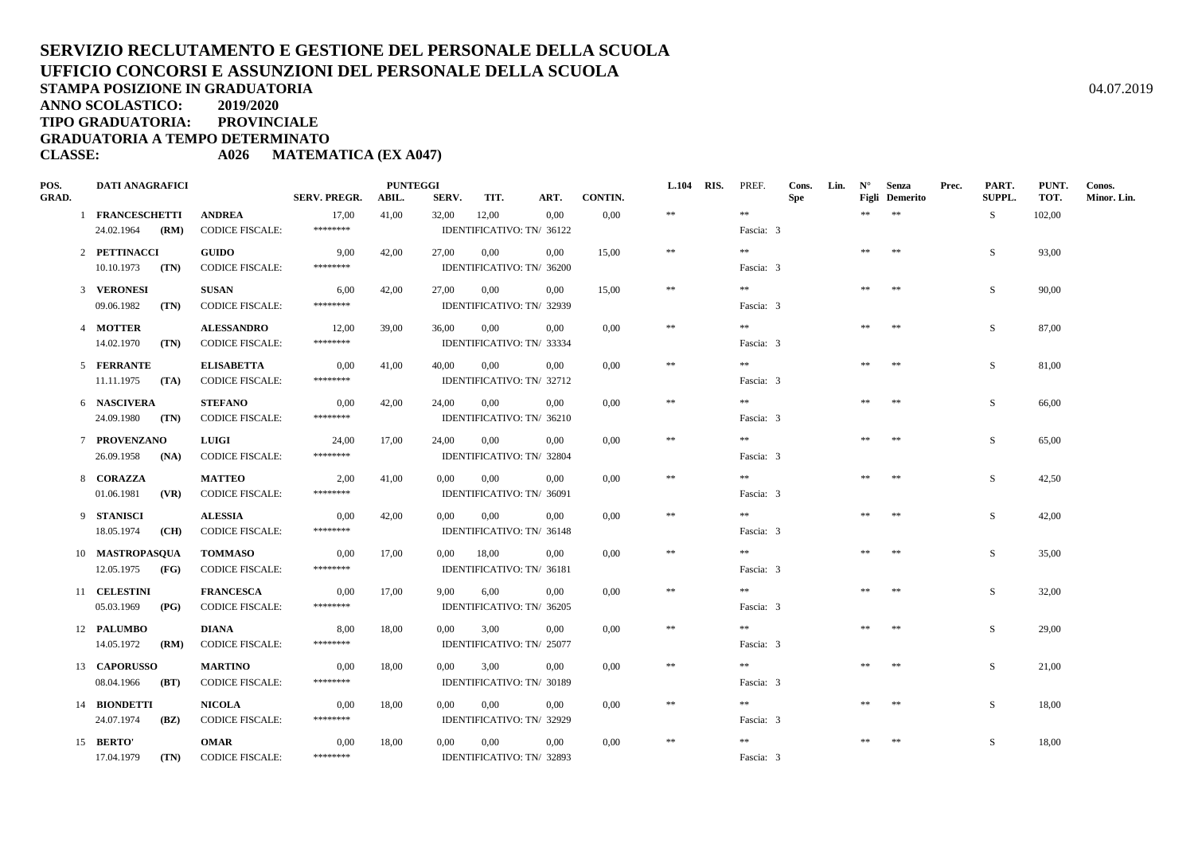**ANNO SCOLASTICO:2019/2020**

**TIPO GRADUATORIA: PROVINCIALE**

**GRADUATORIA A TEMPO DETERMINATO**

**CLASSE: A026 MATEMATICA (EX A047)**

| POS.         | <b>DATI ANAGRAFICI</b>             |               |                                          |                     | <b>PUNTEGGI</b> |          |                                    |          |                | <b>L.104</b> | RIS. | PREF.     | Cons.      | Lin. | $N^{\circ}$ | Senza                      | Prec. | PART.         | PUNT.  | Conos.      |
|--------------|------------------------------------|---------------|------------------------------------------|---------------------|-----------------|----------|------------------------------------|----------|----------------|--------------|------|-----------|------------|------|-------------|----------------------------|-------|---------------|--------|-------------|
| <b>GRAD.</b> |                                    |               |                                          | <b>SERV. PREGR.</b> | ABIL.           | SERV.    | TIT.                               | ART.     | <b>CONTIN.</b> | $\pm\pm$     |      | **        | <b>Spe</b> |      | **          | Figli Demerito<br>$\pm\pm$ |       | <b>SUPPL.</b> | TOT.   | Minor. Lin. |
|              | 1 FRANCESCHETTI<br>24.02.1964 (RM) |               | <b>ANDREA</b><br><b>CODICE FISCALE:</b>  | 17,00<br>********   | 41,00           | 32,00    | 12,00<br>IDENTIFICATIVO: TN/ 36122 | 0,00     | 0.00           |              |      | Fascia: 3 |            |      |             |                            |       | S.            | 102,00 |             |
|              |                                    |               |                                          |                     |                 |          |                                    |          |                |              |      |           |            |      |             |                            |       |               |        |             |
|              | 2 PETTINACCI                       |               | <b>GUIDO</b>                             | 9,00                | 42,00           | 27,00    | 0,00                               | 0.00     | 15,00          | $\pm\pm$     |      | **        |            |      | $\pm\pm$    | **                         |       | S.            | 93,00  |             |
|              | $10.10.1973$ (TN)                  |               | <b>CODICE FISCALE:</b>                   | ********            |                 |          | IDENTIFICATIVO: TN/ 36200          |          |                |              |      | Fascia: 3 |            |      |             |                            |       |               |        |             |
|              | 3 VERONESI                         |               | <b>SUSAN</b>                             | 6,00                | 42,00           | 27,00    | $0.00\,$                           | 0.00     | 15,00          | $\ast\ast$   |      | $\pm\pm$  |            |      | **          | $\pm\pm$                   |       | S.            | 90,00  |             |
|              | 09.06.1982                         | (TN)          | <b>CODICE FISCALE:</b>                   | ********            |                 |          | IDENTIFICATIVO: TN/ 32939          |          |                |              |      | Fascia: 3 |            |      |             |                            |       |               |        |             |
|              | 4 MOTTER                           |               | <b>ALESSANDRO</b>                        | 12,00               | 39,00           | 36,00    | 0,00                               | 0.00     | 0.00           | $\pm\pm$     |      | $* *$     |            |      | $\pm\pm$    | $\pm\pm$                   |       | S.            | 87,00  |             |
|              | 14.02.1970                         | (TN)          | <b>CODICE FISCALE:</b>                   | ********            |                 |          | IDENTIFICATIVO: TN/ 33334          |          |                |              |      | Fascia: 3 |            |      |             |                            |       |               |        |             |
|              | 5 FERRANTE                         |               | <b>ELISABETTA</b>                        | 0,00                | 41,00           | 40,00    | $0.00\,$                           | 0.00     | 0.00           | $\ast\ast$   |      | $\pm\pm$  |            |      | $\pm\pm$    | $* *$                      |       | S             | 81,00  |             |
|              | 11.11.1975                         | (TA)          | <b>CODICE FISCALE:</b>                   | ********            |                 |          | IDENTIFICATIVO: TN/ 32712          |          |                |              |      | Fascia: 3 |            |      |             |                            |       |               |        |             |
|              |                                    |               |                                          |                     |                 |          |                                    |          |                | $\pm\pm$     |      | **        |            |      | **          | $\pm\pm$                   |       |               |        |             |
|              | 6 NASCIVERA<br>24.09.1980 (TN)     |               | <b>STEFANO</b><br><b>CODICE FISCALE:</b> | 0,00<br>********    | 42,00           | 24,00    | 0,00<br>IDENTIFICATIVO: TN/ 36210  | 0.00     | 0,00           |              |      | Fascia: 3 |            |      |             |                            |       | S             | 66,00  |             |
|              |                                    |               |                                          |                     |                 |          |                                    |          |                |              |      |           |            |      |             |                            |       |               |        |             |
|              | 7 PROVENZANO                       |               | <b>LUIGI</b>                             | 24,00               | 17,00           | 24,00    | 0,00                               | 0.00     | 0,00           | $\ast\ast$   |      | **        |            |      | $\pm\pm$    | $\pm\pm$                   |       | S             | 65,00  |             |
|              | 26.09.1958                         | (NA)          | <b>CODICE FISCALE:</b>                   | ********            |                 |          | IDENTIFICATIVO: TN/ 32804          |          |                |              |      | Fascia: 3 |            |      |             |                            |       |               |        |             |
|              | 8 CORAZZA                          |               | <b>MATTEO</b>                            | 2,00                | 41,00           | 0.00     | $0.00\,$                           | 0.00     | 0,00           | $\pm\pm$     |      | $* *$     |            |      | **          | $\pm\pm$                   |       | S.            | 42,50  |             |
|              | $01.06.1981$ (VR)                  |               | <b>CODICE FISCALE:</b>                   | ********            |                 |          | IDENTIFICATIVO: TN/ 36091          |          |                |              |      | Fascia: 3 |            |      |             |                            |       |               |        |             |
|              | 9 STANISCI                         |               | <b>ALESSIA</b>                           | 0,00                | 42,00           | 0,00     | 0.00                               | 0.00     | 0.00           | $\pm\pm$     |      | $* *$     |            |      | $\pm\pm$    | $\pm\pm$                   |       | S             | 42.00  |             |
|              | 18.05.1974                         | (CH)          | <b>CODICE FISCALE:</b>                   | ********            |                 |          | IDENTIFICATIVO: TN/ 36148          |          |                |              |      | Fascia: 3 |            |      |             |                            |       |               |        |             |
|              | 10 MASTROPASQUA                    |               | <b>TOMMASO</b>                           | 0,00                | 17,00           | $0.00\,$ | 18,00                              | 0.00     | 0.00           | $\ast\ast$   |      | $\pm\pm$  |            |      | **          | $* *$                      |       | S             | 35,00  |             |
|              | 12.05.1975                         | (FG)          | <b>CODICE FISCALE:</b>                   | ********            |                 |          | IDENTIFICATIVO: TN/ 36181          |          |                |              |      | Fascia: 3 |            |      |             |                            |       |               |        |             |
|              |                                    |               |                                          |                     |                 |          |                                    |          |                |              |      |           |            |      |             |                            |       |               |        |             |
|              | 11 CELESTINI                       |               | <b>FRANCESCA</b>                         | 0,00<br>********    | 17,00           | 9,00     | 6,00                               | 0.00     | 0,00           | $\ast\ast$   |      | **        |            |      | **          | **                         |       | S             | 32,00  |             |
|              | 05.03.1969                         | (PG)          | <b>CODICE FISCALE:</b>                   |                     |                 |          | IDENTIFICATIVO: TN/ 36205          |          |                |              |      | Fascia: 3 |            |      |             |                            |       |               |        |             |
|              | 12 PALUMBO                         |               | <b>DIANA</b>                             | 8,00                | 18,00           | $0.00\,$ | 3,00                               | $0.00\,$ | 0,00           | $\ast\ast$   |      | $\pm\pm$  |            |      | $\pm\pm$    | $\pm\pm$                   |       | S             | 29,00  |             |
|              | 14.05.1972                         | (RM)          | <b>CODICE FISCALE:</b>                   | ********            |                 |          | IDENTIFICATIVO: TN/ 25077          |          |                |              |      | Fascia: 3 |            |      |             |                            |       |               |        |             |
|              | 13 CAPORUSSO                       |               | <b>MARTINO</b>                           | 0,00                | 18,00           | 0.00     | 3,00                               | 0.00     | 0,00           | $\pm\pm$     |      | $* *$     |            |      | **          | $\pm\pm$                   |       | S.            | 21,00  |             |
|              | 08.04.1966                         | (BT)          | <b>CODICE FISCALE:</b>                   | ********            |                 |          | IDENTIFICATIVO: TN/ 30189          |          |                |              |      | Fascia: 3 |            |      |             |                            |       |               |        |             |
|              | 14 BIONDETTI                       |               | <b>NICOLA</b>                            | 0,00                | 18,00           | 0,00     | 0.00                               | 0.00     | 0.00           | $\pm\pm$     |      | $* *$     |            |      | **          | $\pm\pm$                   |       | S.            | 18,00  |             |
|              | 24.07.1974                         | ( <b>BZ</b> ) | <b>CODICE FISCALE:</b>                   | ********            |                 |          | IDENTIFICATIVO: TN/ 32929          |          |                |              |      | Fascia: 3 |            |      |             |                            |       |               |        |             |
|              | 15 BERTO'                          |               | <b>OMAR</b>                              |                     |                 |          |                                    |          | 0.00           | $\ast\ast$   |      | $\pm\pm$  |            |      | **          | $\ast\ast$                 |       | S             |        |             |
|              | 17.04.1979                         | (TN)          | <b>CODICE FISCALE:</b>                   | 0,00<br>********    | 18,00           | $0.00\,$ | 0,00<br>IDENTIFICATIVO: TN/ 32893  | $0.00\,$ |                |              |      | Fascia: 3 |            |      |             |                            |       |               | 18,00  |             |
|              |                                    |               |                                          |                     |                 |          |                                    |          |                |              |      |           |            |      |             |                            |       |               |        |             |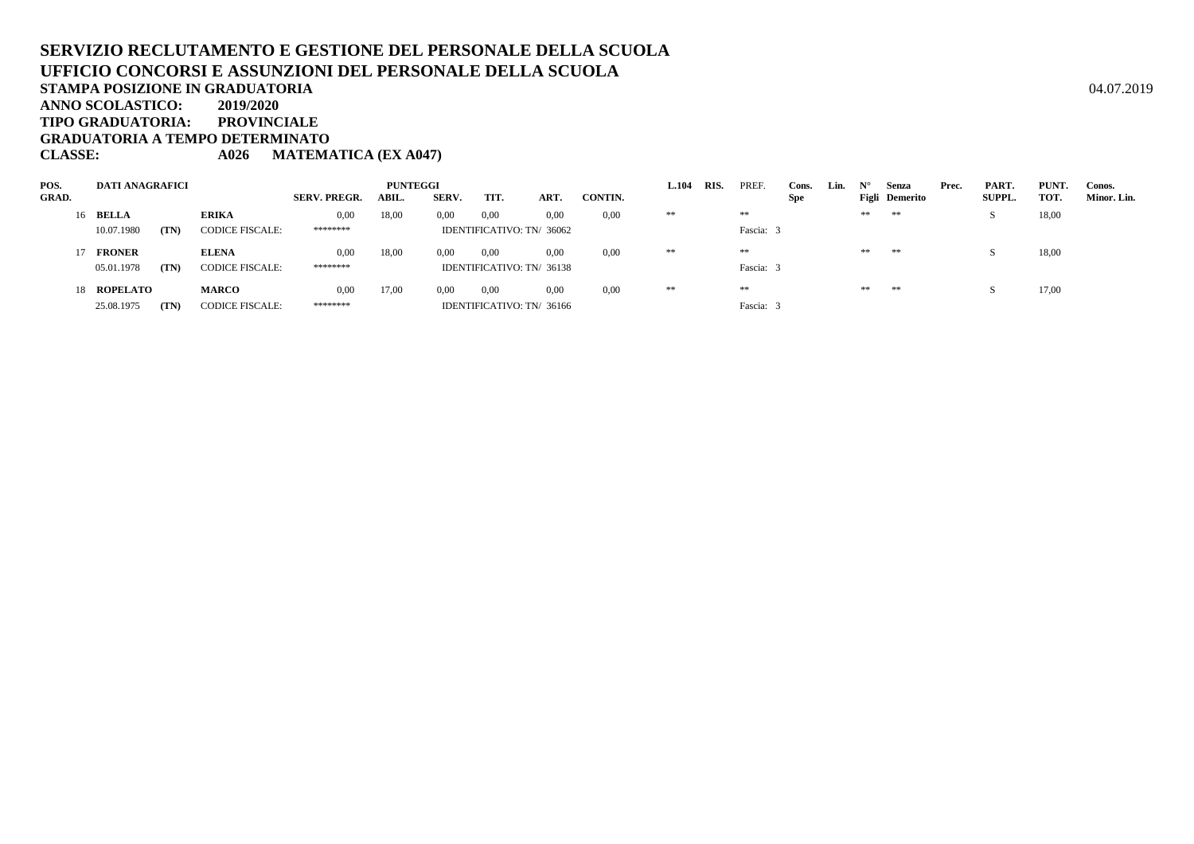#### **SERVIZIO RECLUTAMENTO E GESTIONE DEL PERSONALE DELLA SCUOLAUFFICIO CONCORSI E ASSUNZIONI DEL PERSONALE DELLA SCUOLASTAMPA POSIZIONE IN GRADUATORIA**A  $04.07.2019$ **ANNO SCOLASTICO: 2019/2020TIPO GRADUATORIA: PROVINCIALE**

**GRADUATORIA A TEMPO DETERMINATO**

**CLASSE: A026 MATEMATICA (EX A047)**

| POS.         | <b>DATI ANAGRAFICI</b> |      |                        |                     | <b>PUNTEGGI</b> |       |                           |      |         | <b>L.104</b> | RIS. | PREF.     | Cons. | Lin. |    | Senza          | Prec. | PART.         | PUNT. | Conos.      |
|--------------|------------------------|------|------------------------|---------------------|-----------------|-------|---------------------------|------|---------|--------------|------|-----------|-------|------|----|----------------|-------|---------------|-------|-------------|
| <b>GRAD.</b> |                        |      |                        | <b>SERV. PREGR.</b> | <b>ABIL</b>     | SERV. | TIT.                      | ART. | CONTIN. |              |      |           | Spe   |      |    | Figli Demerito |       | <b>SUPPL.</b> | TOT.  | Minor. Lin. |
|              | 16 BELLA               |      | <b>ERIKA</b>           | 0,00                | 18,00           | 0,00  | 0,00                      | 0,00 | 0,00    | **           |      | **        |       |      | ** | **             |       | - 10          | 18,00 |             |
|              | 10.07.1980             | (TN) | <b>CODICE FISCALE:</b> | ********            |                 |       | IDENTIFICATIVO: TN/ 36062 |      |         |              |      | Fascia: 3 |       |      |    |                |       |               |       |             |
|              | 17 FRONER              |      | <b>ELENA</b>           | 0,00                | 18,00           | 0,00  | 0,00                      | 0,00 | 0,00    | **           |      | **        |       |      | ** | **             |       |               | 18,00 |             |
|              | 05.01.1978             | (TN) | <b>CODICE FISCALE:</b> | ********            |                 |       | IDENTIFICATIVO: TN/ 36138 |      |         |              |      | Fascia: 3 |       |      |    |                |       |               |       |             |
|              | 18 ROPELATO            |      | <b>MARCO</b>           | 0,00                | 17,00           | 0.00  | 0,00                      | 0.00 | 0,00    | **           |      | **        |       |      | ** | **             |       |               | 17,00 |             |
|              | 25.08.1975             | (TN) | <b>CODICE FISCALE:</b> | ********            |                 |       | IDENTIFICATIVO: TN/ 36166 |      |         |              |      | Fascia: 3 |       |      |    |                |       |               |       |             |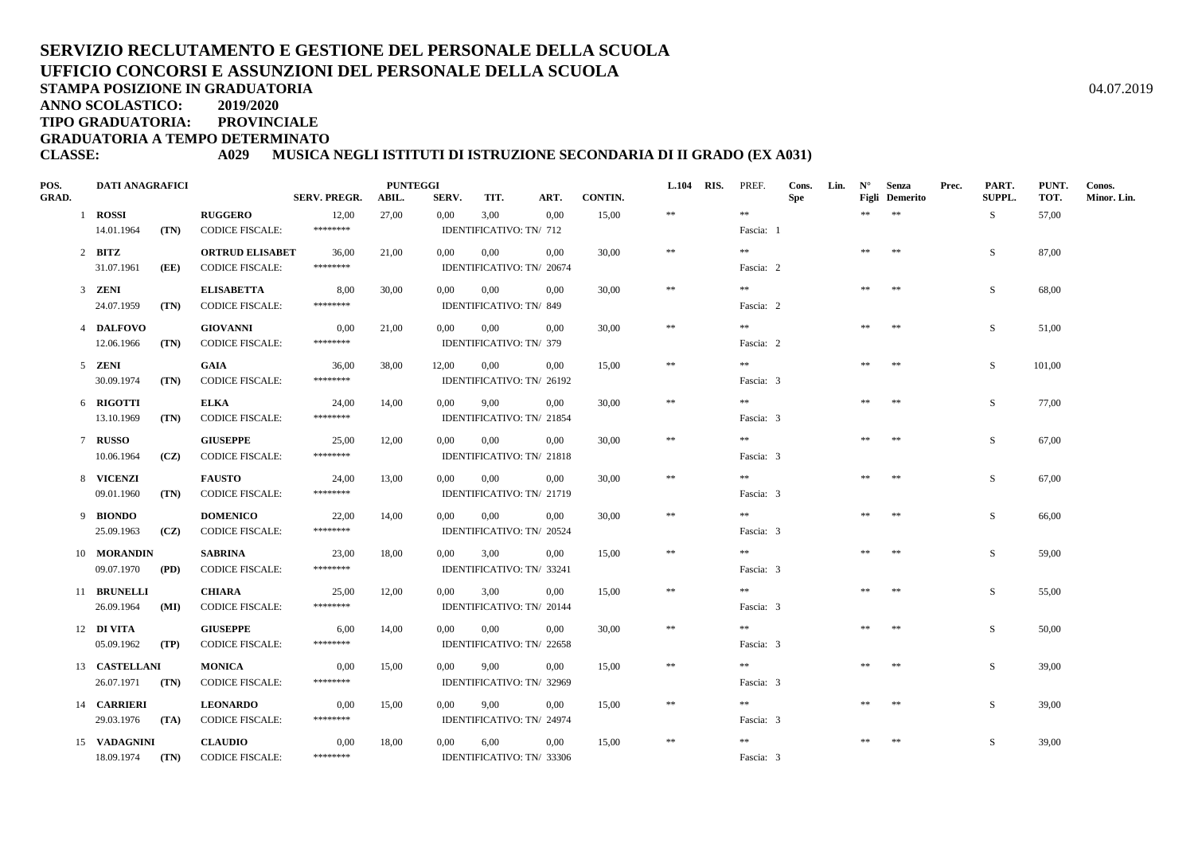# **SERVIZIO RECLUTAMENTO E GESTIONE DEL PERSONALE DELLA SCUOLAUFFICIO CONCORSI E ASSUNZIONI DEL PERSONALE DELLA SCUOLA**

**STAMPA POSIZIONE IN GRADUATORIA**

**ANNO SCOLASTICO:2019/2020**

**TIPO GRADUATORIA: PROVINCIALE**

**GRADUATORIA A TEMPO DETERMINATO**

#### **CLASSE: A029 MUSICA NEGLI ISTITUTI DI ISTRUZIONE SECONDARIA DI II GRADO (EX A031)**

| POS.<br><b>GRAD.</b> | <b>DATI ANAGRAFICI</b> |      |                        | <b>SERV. PREGR.</b> | <b>PUNTEGGI</b><br>ABIL. | SERV.    | TIT.                      | ART.     | <b>CONTIN.</b> | L.104 RIS. | PREF.     | Cons.<br><b>Spe</b> | Lin. | $N^{\circ}$ | Senza<br><b>Figli</b> Demerito | Prec. | PART.<br>SUPPL. | PUNT.<br>TOT. | Conos.<br>Minor. Lin. |
|----------------------|------------------------|------|------------------------|---------------------|--------------------------|----------|---------------------------|----------|----------------|------------|-----------|---------------------|------|-------------|--------------------------------|-------|-----------------|---------------|-----------------------|
|                      | 1 ROSSI                |      | <b>RUGGERO</b>         | 12,00               | 27,00                    | 0,00     | 3,00                      | 0,00     | 15,00          | $\pm\pm$   | **        |                     |      | **          | $\pm\pm$                       |       | S.              | 57,00         |                       |
|                      | 14.01.1964             | (TN) | <b>CODICE FISCALE:</b> | ********            |                          |          | IDENTIFICATIVO: TN/ 712   |          |                |            | Fascia: 1 |                     |      |             |                                |       |                 |               |                       |
|                      | $2$ BITZ               |      | <b>ORTRUD ELISABET</b> | 36,00               | 21,00                    | $0.00\,$ | 0,00                      | 0.00     | 30,00          | $\pm\pm$   | $**$      |                     |      | $\pm\pm$    | $\pm\pm$                       |       | S.              | 87,00         |                       |
|                      | 31.07.1961             | (EE) | <b>CODICE FISCALE:</b> | ********            |                          |          | IDENTIFICATIVO: TN/ 20674 |          |                |            | Fascia: 2 |                     |      |             |                                |       |                 |               |                       |
|                      | 3 ZENI                 |      | <b>ELISABETTA</b>      | 8,00                | 30,00                    | $0.00\,$ | $0.00\,$                  | 0.00     | 30,00          | $\ast\ast$ | $\pm\pm$  |                     |      | **          | $\pm\pm$                       |       | S               | 68,00         |                       |
|                      | 24.07.1959             | (TN) | <b>CODICE FISCALE:</b> | ********            |                          |          | IDENTIFICATIVO: TN/849    |          |                |            | Fascia: 2 |                     |      |             |                                |       |                 |               |                       |
|                      | 4 DALFOVO              |      | <b>GIOVANNI</b>        | 0,00                | 21,00                    | 0.00     | 0,00                      | 0.00     | 30.00          | $\pm\pm$   | $\pm\pm$  |                     |      | $\pm\pm$    | $\pm\pm$                       |       | S               | 51,00         |                       |
|                      | 12.06.1966             | (TN) | <b>CODICE FISCALE:</b> | ********            |                          |          | IDENTIFICATIVO: TN/ 379   |          |                |            | Fascia: 2 |                     |      |             |                                |       |                 |               |                       |
|                      | 5 ZENI                 |      | GAIA                   | 36,00               | 38,00                    | 12,00    | $0.00\,$                  | 0.00     | 15,00          | $\ast\ast$ | $\pm\pm$  |                     |      | $\pm\pm$    | $\pm\pm$                       |       | S               | 101,00        |                       |
|                      | 30.09.1974             | (TN) | <b>CODICE FISCALE:</b> | ********            |                          |          | IDENTIFICATIVO: TN/ 26192 |          |                |            | Fascia: 3 |                     |      |             |                                |       |                 |               |                       |
|                      | 6 RIGOTTI              |      | <b>ELKA</b>            | 24,00               | 14,00                    | 0,00     | 9,00                      | 0,00     | 30,00          | $\ast\ast$ | **        |                     |      | **          | $\pm\pm$                       |       | S               | 77,00         |                       |
|                      | 13.10.1969             | (TN) | <b>CODICE FISCALE:</b> | ********            |                          |          | IDENTIFICATIVO: TN/ 21854 |          |                |            | Fascia: 3 |                     |      |             |                                |       |                 |               |                       |
|                      | 7 RUSSO                |      | <b>GIUSEPPE</b>        | 25,00               | 12,00                    | 0,00     | 0,00                      | 0,00     | 30,00          | $\ast\ast$ | **        |                     |      | $\pm\pm$    | $\pm\pm$                       |       | S               | 67,00         |                       |
|                      | 10.06.1964             | (CZ) | <b>CODICE FISCALE:</b> | ********            |                          |          | IDENTIFICATIVO: TN/ 21818 |          |                |            | Fascia: 3 |                     |      |             |                                |       |                 |               |                       |
|                      | 8 VICENZI              |      | <b>FAUSTO</b>          | 24,00               | 13,00                    | $0.00\,$ | 0,00                      | $0.00\,$ | 30,00          | $\ast\ast$ | $* *$     |                     |      | **          | $\pm\pm$                       |       | S               | 67,00         |                       |
|                      | 09.01.1960             | (TN) | <b>CODICE FISCALE:</b> | ********            |                          |          | IDENTIFICATIVO: TN/ 21719 |          |                |            | Fascia: 3 |                     |      |             |                                |       |                 |               |                       |
|                      | 9 BIONDO               |      | <b>DOMENICO</b>        | 22,00               | 14,00                    | 0.00     | $0.00\,$                  | 0,00     | 30.00          | $\pm\pm$   | $\gg \gg$ |                     |      | $\pm\pm$    | $\pm\pm$                       |       | S               | 66,00         |                       |
|                      | 25.09.1963             | (CZ) | <b>CODICE FISCALE:</b> | ********            |                          |          | IDENTIFICATIVO: TN/ 20524 |          |                |            | Fascia: 3 |                     |      |             |                                |       |                 |               |                       |
|                      | 10 MORANDIN            |      | <b>SABRINA</b>         | 23,00               | 18,00                    | 0,00     | 3,00                      | 0,00     | 15,00          | $\ast\ast$ | $* *$     |                     |      | $\pm\pm$    | $\pm\pm$                       |       | S               | 59,00         |                       |
|                      | 09.07.1970             | (PD) | <b>CODICE FISCALE:</b> | ********            |                          |          | IDENTIFICATIVO: TN/ 33241 |          |                |            | Fascia: 3 |                     |      |             |                                |       |                 |               |                       |
|                      | 11 BRUNELLI            |      | <b>CHIARA</b>          | 25,00               | 12,00                    | 0,00     | 3,00                      | $0.00\,$ | 15,00          | $\ast\ast$ | **        |                     |      | **          | $\pm\pm$                       |       | S               | 55,00         |                       |
|                      | 26.09.1964             | (MI) | <b>CODICE FISCALE:</b> | ********            |                          |          | IDENTIFICATIVO: TN/20144  |          |                |            | Fascia: 3 |                     |      |             |                                |       |                 |               |                       |
|                      | 12 DI VITA             |      | <b>GIUSEPPE</b>        | 6,00                | 14,00                    | $0.00\,$ | $0.00\,$                  | 0,00     | 30,00          | $\ast\ast$ | **        |                     |      | $\pm\pm$    | $\pm\pm$                       |       | S               | 50,00         |                       |
|                      | 05.09.1962             | (TP) | <b>CODICE FISCALE:</b> | ********            |                          |          | IDENTIFICATIVO: TN/ 22658 |          |                |            | Fascia: 3 |                     |      |             |                                |       |                 |               |                       |
|                      | 13 CASTELLANI          |      | <b>MONICA</b>          | 0,00                | 15,00                    | $0.00\,$ | 9,00                      | $0.00\,$ | 15,00          | $\ast\ast$ | $* *$     |                     |      | **          | $\pm\pm$                       |       | S               | 39,00         |                       |
|                      | $26.07.1971$ (TN)      |      | <b>CODICE FISCALE:</b> | ********            |                          |          | IDENTIFICATIVO: TN/ 32969 |          |                |            | Fascia: 3 |                     |      |             |                                |       |                 |               |                       |
|                      | 14 <b>CARRIERI</b>     |      | <b>LEONARDO</b>        | 0,00                | 15,00                    | 0.00     | 9,00                      | 0,00     | 15,00          | $\pm\pm$   | $\pm\pm$  |                     |      | $\pm\pm$    | $\pm\pm$                       |       | S               | 39.00         |                       |
|                      | 29.03.1976             | (TA) | <b>CODICE FISCALE:</b> | ********            |                          |          | IDENTIFICATIVO: TN/ 24974 |          |                |            | Fascia: 3 |                     |      |             |                                |       |                 |               |                       |
|                      | 15 VADAGNINI           |      | <b>CLAUDIO</b>         | 0,00                | 18,00                    | 0,00     | 6,00                      | $0.00\,$ | 15,00          | $\ast\ast$ | $\pm\pm$  |                     |      | $\pm\pm$    | $\ast\ast$                     |       | S               | 39,00         |                       |
|                      | 18.09.1974             | (TN) | <b>CODICE FISCALE:</b> | ********            |                          |          | IDENTIFICATIVO: TN/ 33306 |          |                |            | Fascia: 3 |                     |      |             |                                |       |                 |               |                       |

A  $04.07.2019$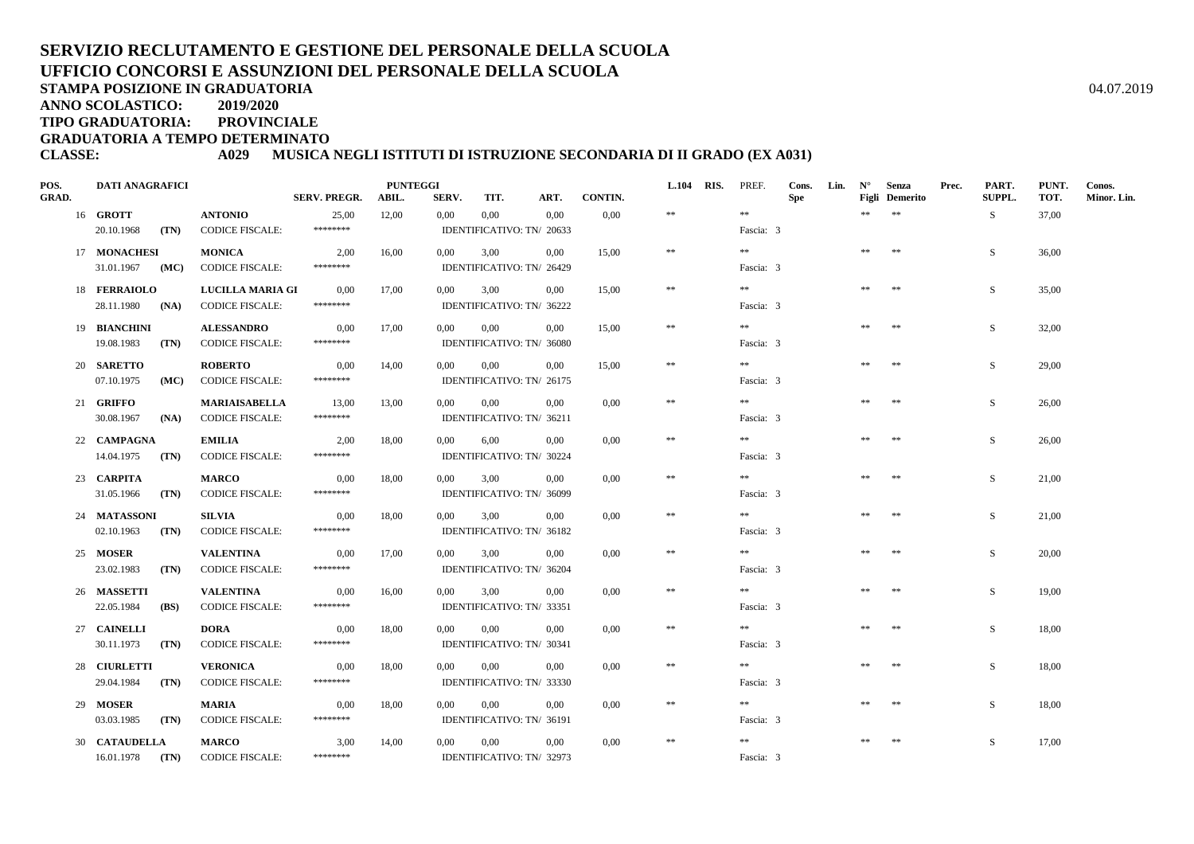# **SERVIZIO RECLUTAMENTO E GESTIONE DEL PERSONALE DELLA SCUOLAUFFICIO CONCORSI E ASSUNZIONI DEL PERSONALE DELLA SCUOLA**

**STAMPA POSIZIONE IN GRADUATORIA**

**ANNO SCOLASTICO:2019/2020**

**TIPO GRADUATORIA: PROVINCIALE**

**GRADUATORIA A TEMPO DETERMINATO**

#### **CLASSE: A029 MUSICA NEGLI ISTITUTI DI ISTRUZIONE SECONDARIA DI II GRADO (EX A031)**

| POS.<br><b>GRAD.</b> | <b>DATI ANAGRAFICI</b>            |                                                | <b>SERV. PREGR.</b> | <b>PUNTEGGI</b><br>ABIL. | SERV.    | TIT.     | ART.                              | <b>CONTIN.</b> | <b>L.104</b> | RIS. | PREF.                  | Cons.<br><b>Spe</b> | Lin. | $N^{\circ}$ | <b>Senza</b><br><b>Figli</b> Demerito | Prec. | PART.<br><b>SUPPL.</b> | PUNT.<br>TOT. | Conos.<br>Minor. Lin. |
|----------------------|-----------------------------------|------------------------------------------------|---------------------|--------------------------|----------|----------|-----------------------------------|----------------|--------------|------|------------------------|---------------------|------|-------------|---------------------------------------|-------|------------------------|---------------|-----------------------|
|                      | 16 <b>GROTT</b>                   | <b>ANTONIO</b>                                 | 25,00               | 12,00                    | 0,00     | 0,00     | 0.00                              | 0,00           | $\ast$       |      | $\pm\pm$               |                     |      | **          | $\pm\pm$                              |       | S                      | 37,00         |                       |
|                      | 20.10.1968<br>(TN)                | <b>CODICE FISCALE:</b>                         | ********            |                          |          |          | IDENTIFICATIVO: TN/ 20633         |                |              |      | Fascia: 3              |                     |      |             |                                       |       |                        |               |                       |
|                      | 17 MONACHESI                      | <b>MONICA</b>                                  | 2,00                | 16,00                    | $0.00\,$ | 3,00     | 0.00                              | 15,00          | $\pm\pm$     |      | **                     |                     |      | **          | $\pm\pm$                              |       | S.                     | 36,00         |                       |
|                      | 31.01.1967<br>(MC)                | <b>CODICE FISCALE:</b>                         | ********            |                          |          |          | IDENTIFICATIVO: TN/ 26429         |                |              |      | Fascia: 3              |                     |      |             |                                       |       |                        |               |                       |
|                      | 18 FERRAIOLO                      | <b>LUCILLA MARIA GI</b>                        | 0.00                | 17,00                    | 0,00     | 3,00     | 0.00                              | 15,00          | $\pm\pm$     |      | $\pm\pm$               |                     |      | **          | $\pm\pm$                              |       | S.                     | 35,00         |                       |
|                      | 28.11.1980 (NA)                   | <b>CODICE FISCALE:</b>                         | ********            |                          |          |          | IDENTIFICATIVO: TN/ 36222         |                |              |      | Fascia: 3              |                     |      |             |                                       |       |                        |               |                       |
|                      | 19 BIANCHINI                      | <b>ALESSANDRO</b>                              | 0,00                | 17,00                    | $0.00\,$ | 0.00     | 0,00                              | 15.00          | $\pm\pm$     |      | **                     |                     |      | **          | **                                    |       | S.                     | 32,00         |                       |
|                      | 19.08.1983<br>(TN)                | <b>CODICE FISCALE:</b>                         | ********            |                          |          |          | IDENTIFICATIVO: TN/ 36080         |                |              |      | Fascia: 3              |                     |      |             |                                       |       |                        |               |                       |
|                      | 20 SARETTO                        | <b>ROBERTO</b>                                 | 0,00                | 14,00                    | 0,00     | 0,00     | 0.00                              | 15,00          | $\ast\ast$   |      | $\pm\pm$               |                     |      | **          | **                                    |       | S                      | 29,00         |                       |
|                      | 07.10.1975<br>(MC)                | <b>CODICE FISCALE:</b>                         | ********            |                          |          |          | IDENTIFICATIVO: TN/ 26175         |                |              |      | Fascia: 3              |                     |      |             |                                       |       |                        |               |                       |
|                      | 21 GRIFFO                         | <b>MARIAISABELLA</b><br><b>CODICE FISCALE:</b> | 13,00<br>********   | 13,00                    | 0.00     | 0,00     | 0,00<br>IDENTIFICATIVO: TN/ 36211 | 0,00           | $\ast$       |      | **                     |                     |      | **          | $\ast\ast$                            |       | S                      | 26,00         |                       |
|                      | 30.08.1967<br>(NA)                |                                                |                     |                          |          |          |                                   |                |              |      | Fascia: 3              |                     |      |             |                                       |       |                        |               |                       |
|                      | 22 CAMPAGNA<br>14.04.1975<br>(TN) | <b>EMILIA</b><br><b>CODICE FISCALE:</b>        | 2,00<br>********    | 18,00                    | $0.00\,$ | 6,00     | 0.00<br>IDENTIFICATIVO: TN/ 30224 | $0.00\,$       | $\ast$       |      | $\gg \gg$<br>Fascia: 3 |                     |      | **          | $**$                                  |       | S                      | 26,00         |                       |
|                      |                                   |                                                |                     |                          |          |          |                                   |                | $**$         |      | $***$                  |                     |      | **          | $\pm\pm$                              |       |                        |               |                       |
|                      | 23 CARPITA<br>31.05.1966<br>(TN)  | <b>MARCO</b><br><b>CODICE FISCALE:</b>         | 0.00<br>********    | 18,00                    | 0.00     | 3.00     | 0.00<br>IDENTIFICATIVO: TN/ 36099 | 0.00           |              |      | Fascia: 3              |                     |      |             |                                       |       | S.                     | 21,00         |                       |
|                      | 24 MATASSONI                      | <b>SILVIA</b>                                  | 0,00                | 18.00                    | $0.00\,$ | 3.00     | 0.00                              | 0.00           | $\ast$       |      | $\pm\pm$               |                     |      | $\pm\pm$    | $\pm\pm$                              |       | S.                     | 21.00         |                       |
|                      | 02.10.1963<br>(TN)                | <b>CODICE FISCALE:</b>                         | ********            |                          |          |          | IDENTIFICATIVO: TN/ 36182         |                |              |      | Fascia: 3              |                     |      |             |                                       |       |                        |               |                       |
|                      | 25 MOSER                          | <b>VALENTINA</b>                               | 0.00                | 17,00                    | 0,00     | 3,00     | 0.00                              | 0.00           | $\ast$       |      | $\pm\pm$               |                     |      | **          | $\ast\ast$                            |       | S.                     | 20,00         |                       |
|                      | 23.02.1983<br>(TN)                | <b>CODICE FISCALE:</b>                         | ********            |                          |          |          | IDENTIFICATIVO: TN/ 36204         |                |              |      | Fascia: 3              |                     |      |             |                                       |       |                        |               |                       |
|                      | 26 MASSETTI                       | <b>VALENTINA</b>                               | 0,00                | 16,00                    | 0.00     | 3,00     | 0.00                              | 0.00           | $\ast$       |      | $\pm\pm$               |                     |      | **          | **                                    |       | S.                     | 19,00         |                       |
|                      | 22.05.1984<br>(BS)                | <b>CODICE FISCALE:</b>                         | ********            |                          |          |          | IDENTIFICATIVO: TN/ 33351         |                |              |      | Fascia: 3              |                     |      |             |                                       |       |                        |               |                       |
|                      | 27 CAINELLI                       | <b>DORA</b>                                    | 0,00                | 18,00                    | $0.00\,$ | 0,00     | 0,00                              | $0.00\,$       | $\ast\ast$   |      | $\pm\pm$               |                     |      | **          | **                                    |       | S                      | 18,00         |                       |
|                      | 30.11.1973<br>(TN)                | <b>CODICE FISCALE:</b>                         | ********            |                          |          |          | IDENTIFICATIVO: TN/ 30341         |                |              |      | Fascia: 3              |                     |      |             |                                       |       |                        |               |                       |
|                      | 28 CIURLETTI                      | <b>VERONICA</b>                                | 0,00                | 18,00                    | 0,00     | $0.00\,$ | 0.00                              | 0,00           | $**$         |      | $\pm\pm$               |                     |      | **          | $\pm\pm$                              |       | S                      | 18,00         |                       |
|                      | 29.04.1984<br>(TN)                | <b>CODICE FISCALE:</b>                         | ********            |                          |          |          | IDENTIFICATIVO: TN/ 33330         |                |              |      | Fascia: 3              |                     |      |             |                                       |       |                        |               |                       |
|                      | 29 MOSER                          | <b>MARIA</b>                                   | 0,00                | 18,00                    | $0.00\,$ | $0.00\,$ | 0,00                              | $0.00\,$       | $\ast$       |      | $\pm\pm$               |                     |      | $\pm\pm$    | $\pm\pm$                              |       | S.                     | 18,00         |                       |
|                      | 03.03.1985<br>(TN)                | <b>CODICE FISCALE:</b>                         | ********            |                          |          |          | IDENTIFICATIVO: TN/ 36191         |                |              |      | Fascia: 3              |                     |      |             |                                       |       |                        |               |                       |
|                      | 30 CATAUDELLA                     | <b>MARCO</b>                                   | 3,00                | 14,00                    | 0.00     | $0.00\,$ | 0.00                              | 0,00           | $\ast\ast$   |      | $\pm\pm$               |                     |      | **          | $\ast\ast$                            |       | S                      | 17,00         |                       |
|                      | 16.01.1978<br>(TN)                | <b>CODICE FISCALE:</b>                         | ********            |                          |          |          | IDENTIFICATIVO: TN/ 32973         |                |              |      | Fascia: 3              |                     |      |             |                                       |       |                        |               |                       |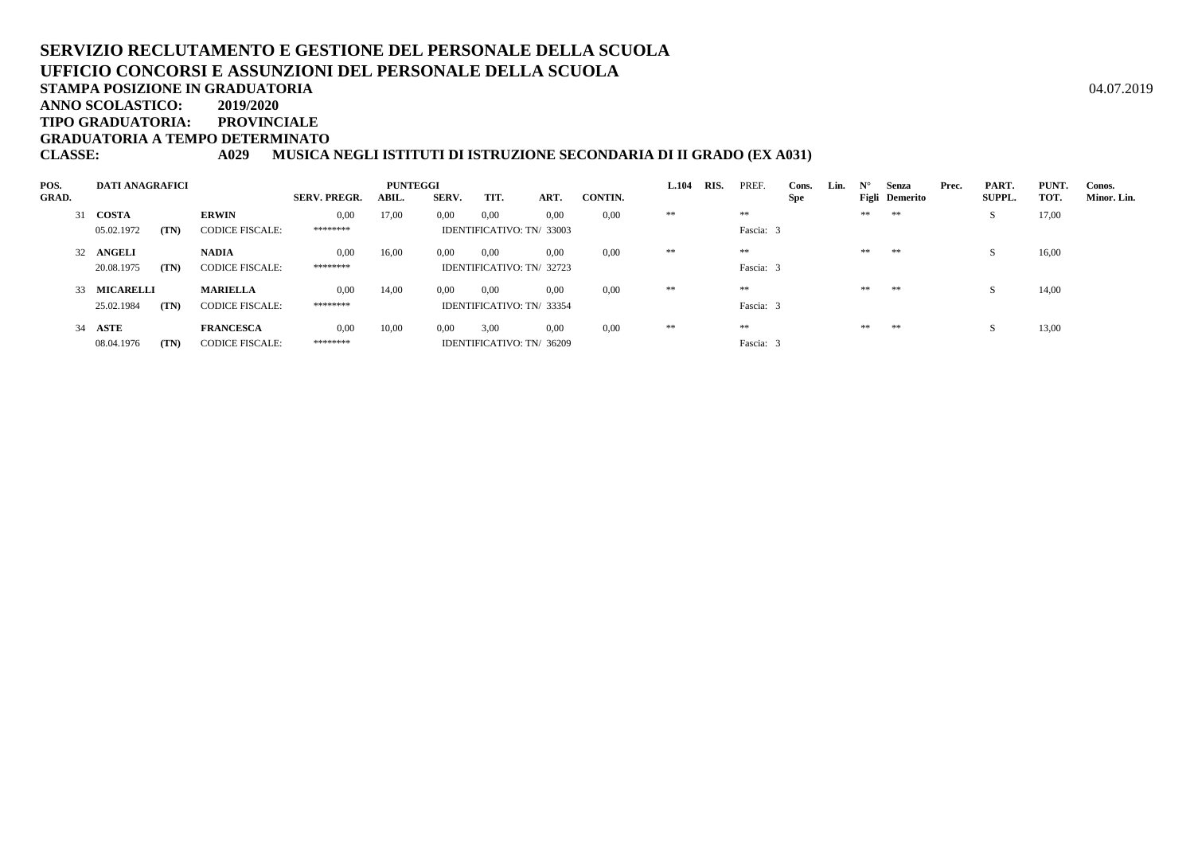# **SERVIZIO RECLUTAMENTO E GESTIONE DEL PERSONALE DELLA SCUOLAUFFICIO CONCORSI E ASSUNZIONI DEL PERSONALE DELLA SCUOLA**

**STAMPA POSIZIONE IN GRADUATORIA**

**ANNO SCOLASTICO:2019/2020**

**TIPO GRADUATORIA: PROVINCIALE**

**GRADUATORIA A TEMPO DETERMINATO**

**CLASSE: A029 MUSICA NEGLI ISTITUTI DI ISTRUZIONE SECONDARIA DI II GRADO (EX A031)**

| POS.         | <b>DATI ANAGRAFICI</b> |      |                        |                     | <b>PUNTEGGI</b> |                |                           |      |         | <b>L.104</b> | RIS. | PREF.     | Cons. | Lin. | $N^{\circ}$ | Senza          | Prec. | PART.         | PUNT. | Conos.      |
|--------------|------------------------|------|------------------------|---------------------|-----------------|----------------|---------------------------|------|---------|--------------|------|-----------|-------|------|-------------|----------------|-------|---------------|-------|-------------|
| <b>GRAD.</b> |                        |      |                        | <b>SERV. PREGR.</b> | ABIL.           | <b>SERV.</b>   | TIT.                      | ART. | CONTIN. |              |      |           | Spe   |      |             | Figli Demerito |       | <b>SUPPL.</b> | TOT.  | Minor. Lin. |
|              | 31 COSTA               |      | <b>ERWIN</b>           | 0,00                | 17,00           | $0.00^{\circ}$ | 0,00                      | 0,00 | 0,00    | **           |      | **        |       |      | **          | **             |       | S             | 17,00 |             |
|              | 05.02.1972             | (TN) | <b>CODICE FISCALE:</b> | *******             |                 |                | IDENTIFICATIVO: TN/33003  |      |         |              |      | Fascia: 3 |       |      |             |                |       |               |       |             |
|              | 32 ANGELI              |      | <b>NADIA</b>           | 0.00                | 16,00           | 0.00           | 0.00                      | 0.00 | 0.00    | **           |      | **        |       |      | **          | **             |       | -S            | 16,00 |             |
|              | 20.08.1975             | (TN) | <b>CODICE FISCALE:</b> | ********            |                 |                | IDENTIFICATIVO: TN/ 32723 |      |         |              |      | Fascia: 3 |       |      |             |                |       |               |       |             |
|              | 33 MICARELLI           |      | <b>MARIELLA</b>        | 0.00                | 14,00           | 0.00           | 0.00                      | 0.00 | 0.00    | **           |      | **        |       |      | **          | **             |       | -5            | 14,00 |             |
|              | 25.02.1984             | (TN) | <b>CODICE FISCALE:</b> | ********            |                 |                | IDENTIFICATIVO: TN/ 33354 |      |         |              |      | Fascia: 3 |       |      |             |                |       |               |       |             |
|              | 34 ASTE                |      | <b>FRANCESCA</b>       | 0.00                | 10,00           | 0.00           | 3,00                      | 0.00 | 0.00    | **           |      | **        |       |      | **          | **             |       |               | 13,00 |             |
|              | 08.04.1976             | (TN) | <b>CODICE FISCALE:</b> | ********            |                 |                | IDENTIFICATIVO: TN/ 36209 |      |         |              |      | Fascia: 3 |       |      |             |                |       |               |       |             |

A  $04.07.2019$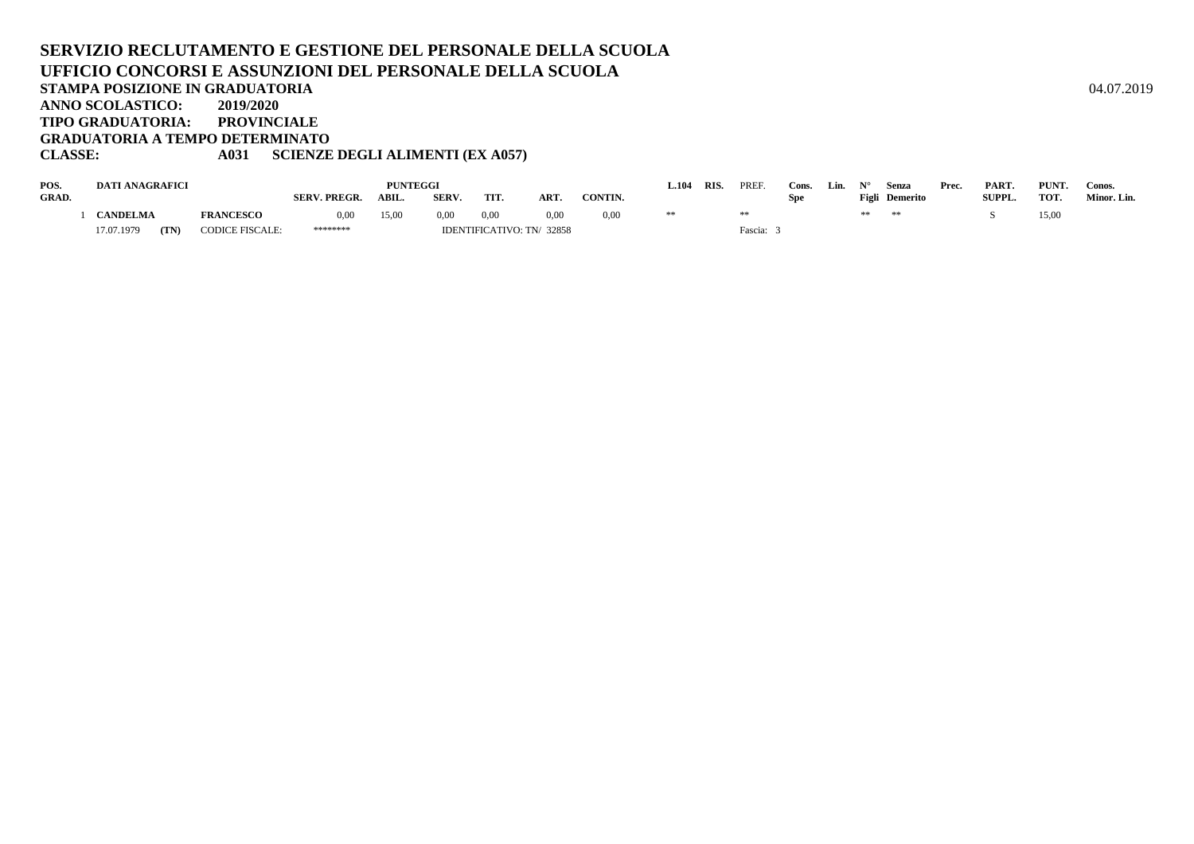#### **SERVIZIO RECLUTAMENTO E GESTIONE DEL PERSONALE DELLA SCUOLAUFFICIO CONCORSI E ASSUNZIONI DEL PERSONALE DELLA SCUOLASTAMPA POSIZIONE IN GRADUATORIA**A  $04.07.2019$ **ANNO SCOLASTICO: 2019/2020 TIPO GRADUATORIA: PROVINCIALE GRADUATORIA A TEMPO DETERMINATOCLASSE: A031 SCIENZE DEGLI ALIMENTI (EX A057)**

| POS.  | <b>DATI ANAGRAFICI</b> |      |                        |                     | <b>PUNTEGGI</b> |              |      |                           |         | $-.104$ | RIS. | PREF    | Cons. | Lin. |    | Senza          | Prec. | PART.         | PUNT. | Conos.      |
|-------|------------------------|------|------------------------|---------------------|-----------------|--------------|------|---------------------------|---------|---------|------|---------|-------|------|----|----------------|-------|---------------|-------|-------------|
| GRAD. |                        |      |                        | <b>SERV. PREGR.</b> | <b>ABIL</b>     | <b>SERV.</b> | TIT. | ART                       | CONTIN. |         |      |         | Spe   |      |    | Figli Demerito |       | <b>SUPPL.</b> | TOT.  | Minor. Lin. |
|       | <b>CANDELMA</b>        |      | <b>FRANCESCO</b>       | 0,00                | 15,00           | 0,00         | 0,00 | 0.00                      | 0,00    |         |      |         |       |      | ** | **             |       |               | 15,00 |             |
|       | 17.07.1979             | (TN) | <b>CODICE FISCALE:</b> | ********            |                 |              |      | IDENTIFICATIVO: TN/ 32858 |         |         |      | Fascia: |       |      |    |                |       |               |       |             |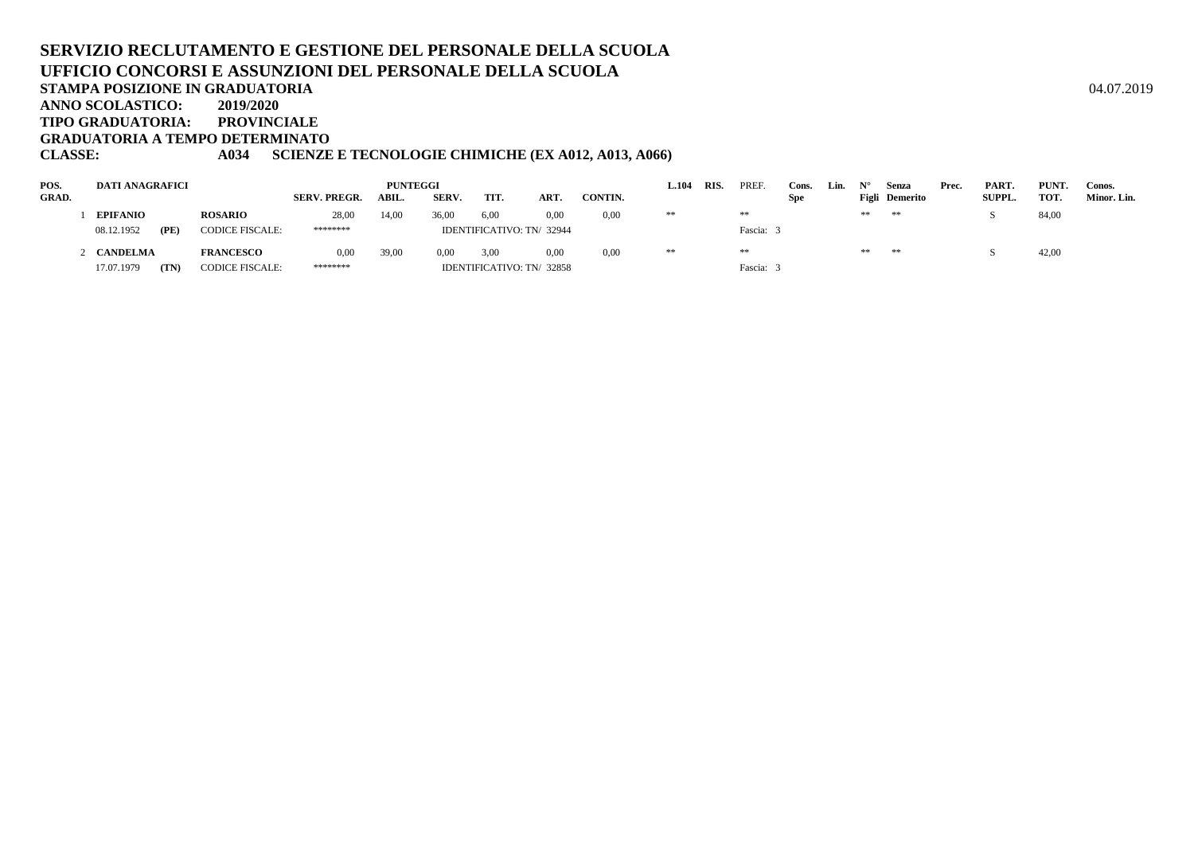**TIPO GRADUATORIA: PROVINCIALE**

**GRADUATORIA A TEMPO DETERMINATO**

# **CLASSE: A034 SCIENZE E TECNOLOGIE CHIMICHE (EX A012, A013, A066)**

| POS.  | DATI ANAGRAFICI    |                        |              | <b>PUNTEGGI</b> |       |      |                           |         | $\mathbf{\mathbf{\scriptstyle{L.104}}}$ | <b>RIS</b> | PREF      | Cons.      | Lin. |    | Senza          | Prec. | PART.         | PUNT. | Conos.      |
|-------|--------------------|------------------------|--------------|-----------------|-------|------|---------------------------|---------|-----------------------------------------|------------|-----------|------------|------|----|----------------|-------|---------------|-------|-------------|
| GRAD. |                    |                        | SERV. PREGR. | ABIL.           | SERV. | TIT. | ART.                      | CONTIN. |                                         |            |           | <b>Spe</b> |      |    | Figli Demerito |       | <b>SUPPL.</b> | TOT.  | Minor. Lin. |
|       | <b>EPIFANIO</b>    | <b>ROSARIO</b>         | 28,00        | 14,00           | 36.00 | 6,00 | 0,00                      | 0,00    | **                                      |            | **        |            |      | ** | **             |       |               | 84,00 |             |
|       | 08.12.1952<br>(PE) | <b>CODICE FISCALE:</b> | ********     |                 |       |      | IDENTIFICATIVO: TN/ 32944 |         |                                         |            | Fascia: 3 |            |      |    |                |       |               |       |             |
|       | CANDELMA           | <b>FRANCESCO</b>       | 0,00         | 39,00           | 0.00  | 3.00 | 0.00                      | 0.00    | **                                      |            | **        |            |      | ** | **             |       |               | 42,00 |             |
|       | (TN)<br>17.07.1979 | <b>CODICE FISCALE:</b> | ********     |                 |       |      | IDENTIFICATIVO: TN/32858  |         |                                         |            | Fascia: 3 |            |      |    |                |       |               |       |             |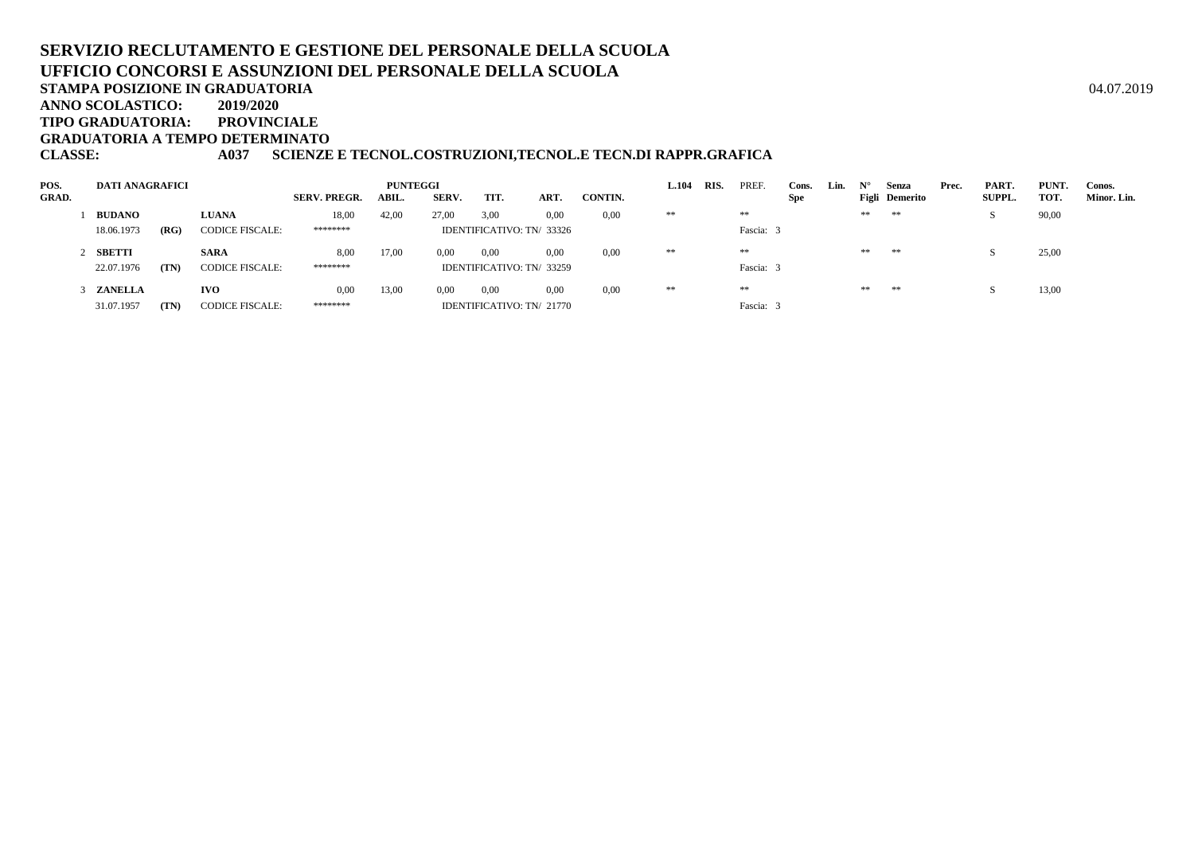# **SERVIZIO RECLUTAMENTO E GESTIONE DEL PERSONALE DELLA SCUOLAUFFICIO CONCORSI E ASSUNZIONI DEL PERSONALE DELLA SCUOLA**A  $04.07.2019$

**STAMPA POSIZIONE IN GRADUATORIA**

**ANNO SCOLASTICO:2019/2020**

**TIPO GRADUATORIA: PROVINCIALE**

**GRADUATORIA A TEMPO DETERMINATO**

**CLASSE: A037 SCIENZE E TECNOL.COSTRUZIONI,TECNOL.E TECN.DI RAPPR.GRAFICA**

| POS.         | <b>DATI ANAGRAFICI</b> |      |                        |                     | PUNTEGGI |       |                           |      |         | <b>L.104</b> | RIS. | PREF.     | Cons. | Lin. | $N^{\circ}$ | Senza          | Prec. | PART.         | PUNT. | Conos.      |
|--------------|------------------------|------|------------------------|---------------------|----------|-------|---------------------------|------|---------|--------------|------|-----------|-------|------|-------------|----------------|-------|---------------|-------|-------------|
| <b>GRAD.</b> |                        |      |                        | <b>SERV. PREGR.</b> | ABIL.    | SERV. | TIT.                      | ART. | CONTIN. |              |      |           | Spe   |      |             | Figli Demerito |       | <b>SUPPL.</b> | TOT.  | Minor. Lin. |
|              | <b>BUDANO</b>          |      | <b>LUANA</b>           | 18,00               | 42,00    | 27.00 | 3,00                      | 0,00 | 0.00    | **           |      | **        |       |      | **          | **             |       |               | 90,00 |             |
|              | 18.06.1973             | (RG) | <b>CODICE FISCALE:</b> | ********            |          |       | IDENTIFICATIVO: TN/ 33326 |      |         |              |      | Fascia: 3 |       |      |             |                |       |               |       |             |
|              | 2 SBETTI               |      | <b>SARA</b>            | 8,00                | 17,00    | 0.00  | 0,00                      | 0.00 | 0.00    | **           |      | **        |       |      | $\pm\pm$    | **             |       |               | 25,00 |             |
|              | 22.07.1976             | (TN) | <b>CODICE FISCALE:</b> | ********            |          |       | IDENTIFICATIVO: TN/33259  |      |         |              |      | Fascia: 3 |       |      |             |                |       |               |       |             |
|              | 3 ZANELLA              |      | <b>IVO</b>             | 0,00                | 13,00    | 0.00  | 0,00                      | 0.00 | 0,00    | **           |      | **        |       |      | $\pm\pm$    | **             |       |               | 13,00 |             |
|              | 31.07.1957             | (TN) | <b>CODICE FISCALE:</b> | ********            |          |       | IDENTIFICATIVO: TN/ 21770 |      |         |              |      | Fascia:   |       |      |             |                |       |               |       |             |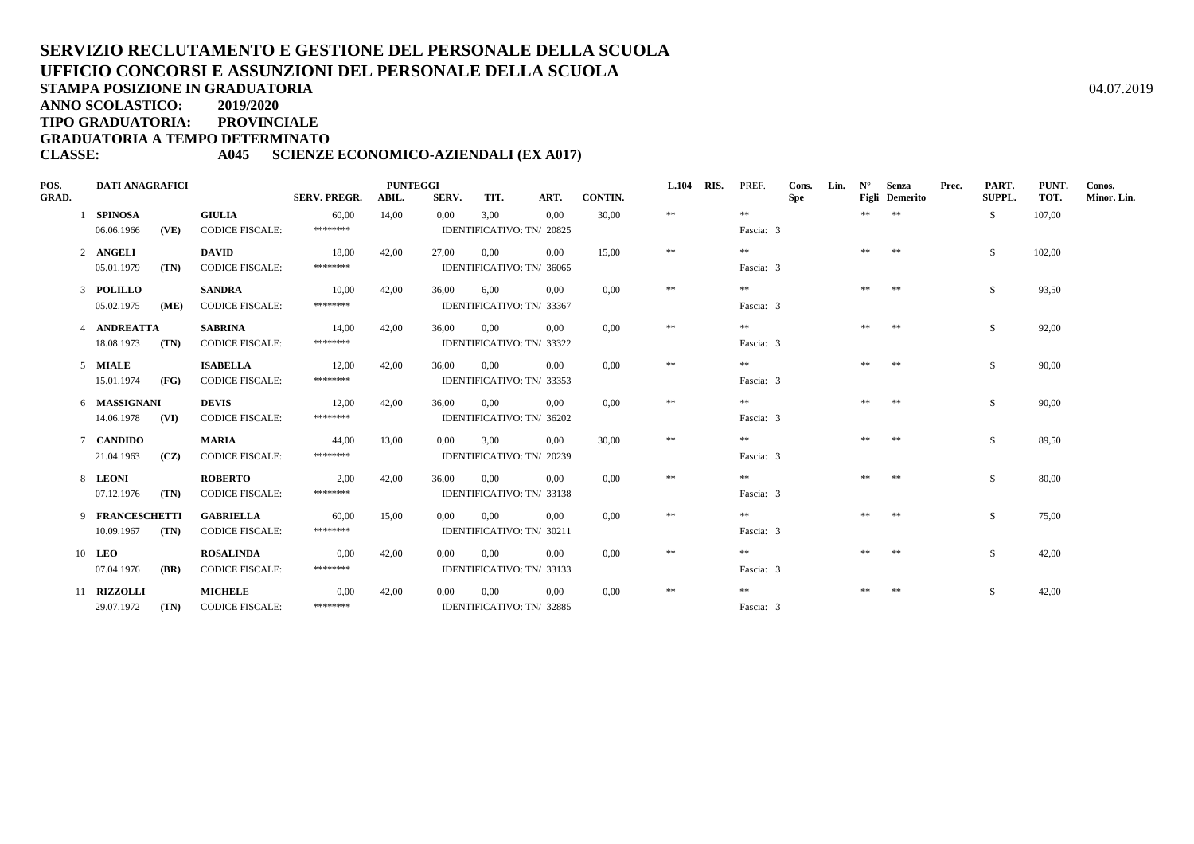**ANNO SCOLASTICO:2019/2020**

**TIPO GRADUATORIA: PROVINCIALE**

**GRADUATORIA A TEMPO DETERMINATO**

## **CLASSE: A045 SCIENZE ECONOMICO-AZIENDALI (EX A017)**

| POS.         | <b>DATI ANAGRAFICI</b> |      |                        |                     | <b>PUNTEGGI</b> |                           |          |                           | L.104          | RIS.     | PREF. | Cons.      | Lin.       | $N^{\circ}$ | Senza | Prec.          | PART. | PUNT.         | Conos. |             |
|--------------|------------------------|------|------------------------|---------------------|-----------------|---------------------------|----------|---------------------------|----------------|----------|-------|------------|------------|-------------|-------|----------------|-------|---------------|--------|-------------|
| <b>GRAD.</b> |                        |      |                        | <b>SERV. PREGR.</b> | ABIL.           | SERV.                     | TIT.     | ART.                      | <b>CONTIN.</b> |          |       |            | <b>Spe</b> |             |       | Figli Demerito |       | <b>SUPPL.</b> | TOT.   | Minor. Lin. |
|              | 1 SPINOSA              |      | <b>GIULIA</b>          | 60,00               | 14,00           | 0.00                      | 3,00     | 0.00                      | 30,00          | $\pm\pm$ |       | **         |            |             | **    | $**$           |       | S.            | 107,00 |             |
|              | 06.06.1966             | (VE) | <b>CODICE FISCALE:</b> | ********            |                 |                           |          | IDENTIFICATIVO: TN/ 20825 |                |          |       | Fascia: 3  |            |             |       |                |       |               |        |             |
|              | 2 ANGELI               |      | <b>DAVID</b>           | 18,00               | 42,00           | 27,00                     | 0,00     | 0.00                      | 15.00          | $\pm\pm$ |       | **         |            |             | **    | **             |       | S.            | 102,00 |             |
|              | 05.01.1979             | (TN) | <b>CODICE FISCALE:</b> | ********            |                 |                           |          | IDENTIFICATIVO: TN/ 36065 |                |          |       | Fascia: 3  |            |             |       |                |       |               |        |             |
|              | 3 POLILLO              |      | <b>SANDRA</b>          | 10,00               | 42.00           | 36,00                     | 6.00     | 0.00                      | 0.00           | $\pm\pm$ |       | **         |            |             | **    | $\pm\pm$       |       | S.            | 93,50  |             |
|              | 05.02.1975             | (ME) | <b>CODICE FISCALE:</b> | ********            |                 |                           |          | IDENTIFICATIVO: TN/ 33367 |                |          |       | Fascia: 3  |            |             |       |                |       |               |        |             |
|              | 4 ANDREATTA            |      | <b>SABRINA</b>         | 14,00               | 42,00           | 36,00                     | 0,00     | 0.00                      | 0.00           | $\pm\pm$ |       | $\pm\pm$   |            |             | **    | $\pm\pm$       |       | S.            | 92,00  |             |
|              | 18.08.1973             | (TN) | <b>CODICE FISCALE:</b> | ********            |                 |                           |          | IDENTIFICATIVO: TN/ 33322 |                |          |       | Fascia: 3  |            |             |       |                |       |               |        |             |
|              | 5 MIALE                |      | <b>ISABELLA</b>        | 12,00               | 42,00           | 36,00                     | 0,00     | 0,00                      | 0,00           | $\pm\pm$ |       | $\ast\ast$ |            |             | **    | **             |       | <sub>S</sub>  | 90,00  |             |
|              | 15.01.1974             | (FG) | <b>CODICE FISCALE:</b> | ********            |                 |                           |          | IDENTIFICATIVO: TN/ 33353 |                |          |       | Fascia: 3  |            |             |       |                |       |               |        |             |
|              | 6 MASSIGNANI           |      | <b>DEVIS</b>           | 12,00               | 42,00           | 36.00                     | $0.00\,$ | 0.00                      | 0.00           | $\pm\pm$ |       | $\pm\pm$   |            |             |       | $* *$          |       | <sub>S</sub>  | 90.00  |             |
|              | 14.06.1978             | (VI) | <b>CODICE FISCALE:</b> | ********            |                 |                           |          | IDENTIFICATIVO: TN/ 36202 |                |          |       | Fascia: 3  |            |             |       |                |       |               |        |             |
|              | 7 CANDIDO              |      | <b>MARIA</b>           | 44,00               | 13,00           | $0.00^{\circ}$            | 3.00     | 0.00                      | 30.00          | $\pm\pm$ |       | $\ast\ast$ |            |             | **    | $\pm\pm$       |       | S             | 89,50  |             |
|              | 21.04.1963             | (CZ) | <b>CODICE FISCALE:</b> | ********            |                 |                           |          | IDENTIFICATIVO: TN/ 20239 |                |          |       | Fascia: 3  |            |             |       |                |       |               |        |             |
|              | 8 LEONI                |      | <b>ROBERTO</b>         | 2,00                | 42,00           | 36,00                     | $0.00\,$ | 0.00                      | 0.00           | $\pm\pm$ |       | $\pm\pm$   |            |             | **    | **             |       | S.            | 80,00  |             |
|              | 07.12.1976             | (TN) | <b>CODICE FISCALE:</b> | ********            |                 |                           |          | IDENTIFICATIVO: TN/ 33138 |                |          |       | Fascia: 3  |            |             |       |                |       |               |        |             |
|              | 9 FRANCESCHETTI        |      | <b>GABRIELLA</b>       | 60,00               | 15,00           | 0.00                      | 0.00     | 0.00                      | 0.00           | $\pm\pm$ |       | **         |            |             | **    | $\pm\pm$       |       | S             | 75,00  |             |
|              | 10.09.1967             | (TN) | <b>CODICE FISCALE:</b> | ********            |                 |                           |          | IDENTIFICATIVO: TN/ 30211 |                |          |       | Fascia: 3  |            |             |       |                |       |               |        |             |
|              | 10 LEO                 |      | <b>ROSALINDA</b>       | 0,00                | 42,00           | 0.00                      | 0,00     | 0.00                      | 0.00           | $\pm\pm$ |       | $\pm\pm$   |            |             |       |                |       | S.            | 42,00  |             |
|              | 07.04.1976             | (BR) | <b>CODICE FISCALE:</b> | *******             |                 | IDENTIFICATIVO: TN/ 33133 |          |                           |                |          |       | Fascia: 3  |            |             |       |                |       |               |        |             |
|              | 11 RIZZOLLI            |      | <b>MICHELE</b>         | 0,00                | 42,00           | 0,00                      | 0,00     | 0,00                      | 0,00           | $\pm\pm$ |       | **         |            |             | **    | $* *$          |       | S.            | 42,00  |             |
|              | 29.07.1972             | (TN) | <b>CODICE FISCALE:</b> | ********            |                 |                           |          | IDENTIFICATIVO: TN/ 32885 |                |          |       | Fascia: 3  |            |             |       |                |       |               |        |             |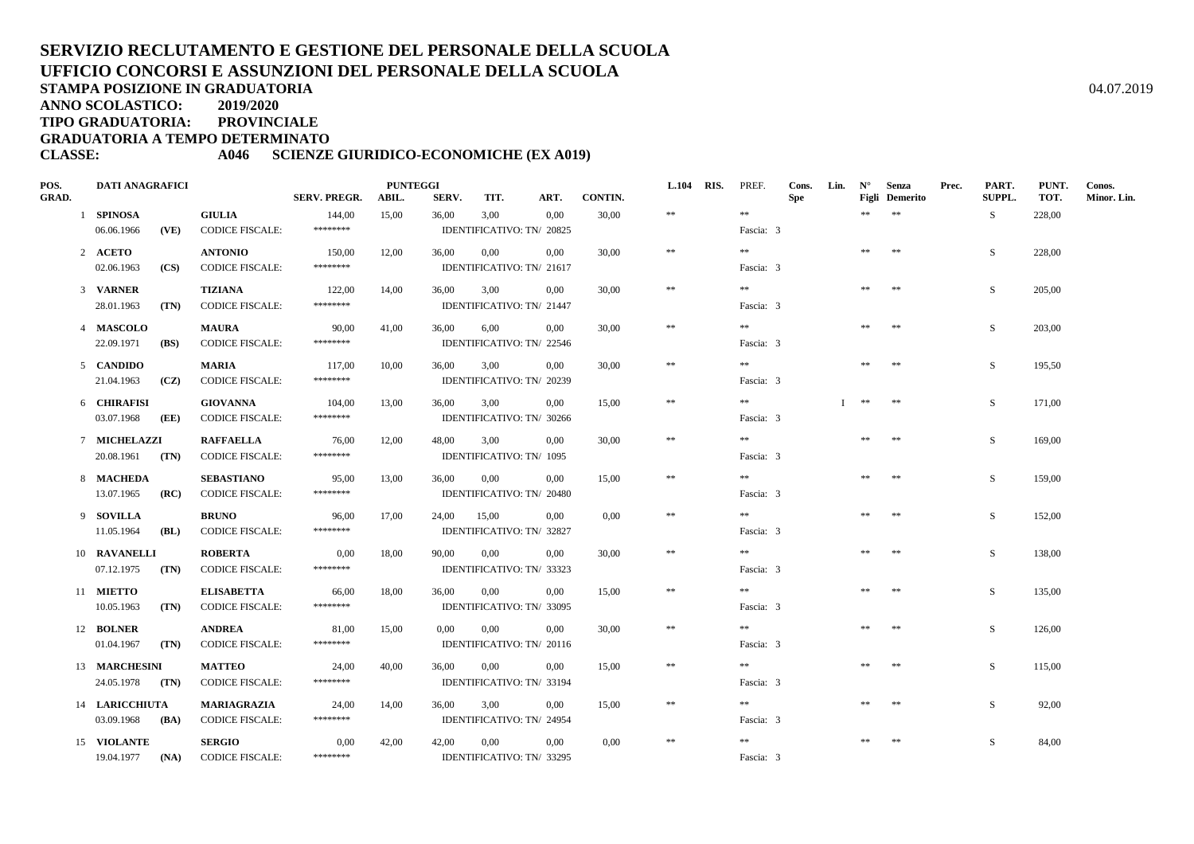**ANNO SCOLASTICO:2019/2020**

**TIPO GRADUATORIA: PROVINCIALE**

**GRADUATORIA A TEMPO DETERMINATO**

## **CLASSE: A046 SCIENZE GIURIDICO-ECONOMICHE (EX A019)**

| POS.         | <b>DATI ANAGRAFICI</b> |             |                        |                     | <b>PUNTEGGI</b> |             |                           |          |         | <b>L.104 RIS.</b> | PREF.     | Cons.      | Lin. | $N^{\circ}$ | Senza                 | Prec. | PART.  | PUNT.  | Conos.      |
|--------------|------------------------|-------------|------------------------|---------------------|-----------------|-------------|---------------------------|----------|---------|-------------------|-----------|------------|------|-------------|-----------------------|-------|--------|--------|-------------|
| <b>GRAD.</b> |                        |             |                        | <b>SERV. PREGR.</b> | ABIL.           | SERV.       | TIT.                      | ART.     | CONTIN. |                   |           | <b>Spe</b> |      |             | <b>Figli</b> Demerito |       | SUPPL. | TOT.   | Minor. Lin. |
|              | 1 SPINOSA              |             | <b>GIULIA</b>          | 144,00              | 15,00           | 36,00       | 3,00                      | 0.00     | 30,00   | $\ast\ast$        | $\pm\pm$  |            |      | **          | $\pm\pm$              |       | S.     | 228,00 |             |
|              | 06.06.1966             | (VE)        | <b>CODICE FISCALE:</b> | ********            |                 |             | IDENTIFICATIVO: TN/ 20825 |          |         |                   | Fascia: 3 |            |      |             |                       |       |        |        |             |
|              | 2 ACETO                |             | <b>ANTONIO</b>         | 150,00              | 12,00           | 36,00       | 0,00                      | 0.00     | 30.00   | $\ast\ast$        | **        |            |      | **          | **                    |       | S.     | 228,00 |             |
|              | 02.06.1963             | (CS)        | <b>CODICE FISCALE:</b> | ********            |                 |             | IDENTIFICATIVO: TN/ 21617 |          |         |                   | Fascia: 3 |            |      |             |                       |       |        |        |             |
|              | 3 VARNER               |             | <b>TIZIANA</b>         | 122,00              | 14,00           | 36,00       | 3,00                      | 0,00     | 30,00   | $\pm\pm$          | **        |            |      | **          | $\pm\pm$              |       | S      | 205,00 |             |
|              | 28.01.1963             | (TN)        | <b>CODICE FISCALE:</b> | ********            |                 |             | IDENTIFICATIVO: TN/ 21447 |          |         |                   | Fascia: 3 |            |      |             |                       |       |        |        |             |
|              | 4 MASCOLO              |             | <b>MAURA</b>           | 90,00               | 41,00           | 36,00       | 6,00                      | 0,00     | 30,00   | $\ast\ast$        | $\pm\pm$  |            |      | **          | $\pm\pm$              |       | S      | 203,00 |             |
|              | 22.09.1971             | <b>(BS)</b> | <b>CODICE FISCALE:</b> | ********            |                 |             | IDENTIFICATIVO: TN/ 22546 |          |         |                   | Fascia: 3 |            |      |             |                       |       |        |        |             |
|              | 5 CANDIDO              |             | <b>MARIA</b>           | 117,00              | 10,00           | 36,00       | 3,00                      | $0.00\,$ | 30,00   | $\ast\ast$        | $\pm\pm$  |            |      | $\pm\pm$    | $**$                  |       | S      | 195,50 |             |
|              | 21.04.1963             | (CZ)        | <b>CODICE FISCALE:</b> | ********            |                 |             | IDENTIFICATIVO: TN/ 20239 |          |         |                   | Fascia: 3 |            |      |             |                       |       |        |        |             |
|              | 6 CHIRAFISI            |             | <b>GIOVANNA</b>        | 104,00              | 13,00           | 36,00       | 3,00                      | 0,00     | 15,00   | $\ast\ast$        | $\pm\pm$  |            |      | **          | $**$                  |       | S      | 171,00 |             |
|              | 03.07.1968             | (EE)        | <b>CODICE FISCALE:</b> | ********            |                 |             | IDENTIFICATIVO: TN/ 30266 |          |         |                   | Fascia: 3 |            |      |             |                       |       |        |        |             |
|              | 7 MICHELAZZI           |             | <b>RAFFAELLA</b>       | 76,00               | 12,00           | 48,00       | 3,00                      | 0,00     | 30,00   | $\ast\ast$        | $\gg \gg$ |            |      | $\pm\pm$    | $\pm\pm$              |       | S      | 169,00 |             |
|              | 20.08.1961 (TN)        |             | <b>CODICE FISCALE:</b> | ********            |                 |             | IDENTIFICATIVO: TN/ 1095  |          |         |                   | Fascia: 3 |            |      |             |                       |       |        |        |             |
|              | 8 MACHEDA              |             | <b>SEBASTIANO</b>      | 95,00               | 13,00           | 36,00       | $0.00\,$                  | 0.00     | 15,00   | $\ast$            | $\pm\pm$  |            |      | **          | $\pm\pm$              |       | S      | 159,00 |             |
|              | 13.07.1965             | (RC)        | <b>CODICE FISCALE:</b> | ********            |                 |             | IDENTIFICATIVO: TN/ 20480 |          |         |                   | Fascia: 3 |            |      |             |                       |       |        |        |             |
|              | 9 SOVILLA              |             | <b>BRUNO</b>           | 96,00               | 17,00           | 24,00 15,00 |                           | 0.00     | 0.00    | $\ast\ast$        | $\pm\pm$  |            |      | **          | $**$                  |       | S      | 152,00 |             |
|              | 11.05.1964             | (BL)        | <b>CODICE FISCALE:</b> | ********            |                 |             | IDENTIFICATIVO: TN/ 32827 |          |         |                   | Fascia: 3 |            |      |             |                       |       |        |        |             |
|              | 10 RAVANELLI           |             | <b>ROBERTA</b>         | 0.00                | 18,00           | 90,00       | 0,00                      | 0.00     | 30.00   | $\ast$            | **        |            |      | **          | $\ast\ast$            |       | S      | 138,00 |             |
|              | 07.12.1975             | (TN)        | <b>CODICE FISCALE:</b> | ********            |                 |             | IDENTIFICATIVO: TN/ 33323 |          |         |                   | Fascia: 3 |            |      |             |                       |       |        |        |             |
|              | 11 MIETTO              |             | <b>ELISABETTA</b>      | 66,00               | 18,00           | 36,00       | 0,00                      | 0,00     | 15,00   | $\ast\ast$        | $\pm\pm$  |            |      | **          | $\pm\pm$              |       | S      | 135,00 |             |
|              | 10.05.1963             | (TN)        | <b>CODICE FISCALE:</b> | ********            |                 |             | IDENTIFICATIVO: TN/ 33095 |          |         |                   | Fascia: 3 |            |      |             |                       |       |        |        |             |
|              | 12 BOLNER              |             | <b>ANDREA</b>          | 81,00               | 15,00           | $0.00\,$    | 0,00                      | 0.00     | 30.00   | $\pm\pm$          | $* *$     |            |      | $\pm\pm$    | $\pm\pm$              |       | S.     | 126,00 |             |
|              | 01.04.1967             | (TN)        | <b>CODICE FISCALE:</b> | ********            |                 |             | IDENTIFICATIVO: TN/ 20116 |          |         |                   | Fascia: 3 |            |      |             |                       |       |        |        |             |
|              | 13 MARCHESINI          |             | <b>MATTEO</b>          | 24,00               | 40,00           | 36,00       | $0.00\,$                  | 0,00     | 15,00   | $\ast\ast$        | **        |            |      | **          | $\pm\pm$              |       | S      | 115,00 |             |
|              | 24.05.1978 (TN)        |             | <b>CODICE FISCALE:</b> | ********            |                 |             | IDENTIFICATIVO: TN/ 33194 |          |         |                   | Fascia: 3 |            |      |             |                       |       |        |        |             |
|              | 14 LARICCHIUTA         |             | MARIAGRAZIA            | 24,00               | 14,00           | 36,00       | 3,00                      | 0,00     | 15,00   | $\ast\ast$        | $\pm\pm$  |            |      | $\pm\pm$    | $\pm\pm$              |       | S.     | 92,00  |             |
|              | 03.09.1968             | (BA)        | <b>CODICE FISCALE:</b> | ********            |                 |             | IDENTIFICATIVO: TN/ 24954 |          |         |                   | Fascia: 3 |            |      |             |                       |       |        |        |             |
|              | 15 VIOLANTE            |             | <b>SERGIO</b>          | 0,00                | 42,00           | 42,00       | $0.00\,$                  | 0,00     | 0,00    | $\ast\ast$        | $\pm\pm$  |            |      | **          | $\pm\pm$              |       | S      | 84,00  |             |
|              | 19.04.1977             | (NA)        | <b>CODICE FISCALE:</b> | ********            |                 |             | IDENTIFICATIVO: TN/ 33295 |          |         |                   | Fascia: 3 |            |      |             |                       |       |        |        |             |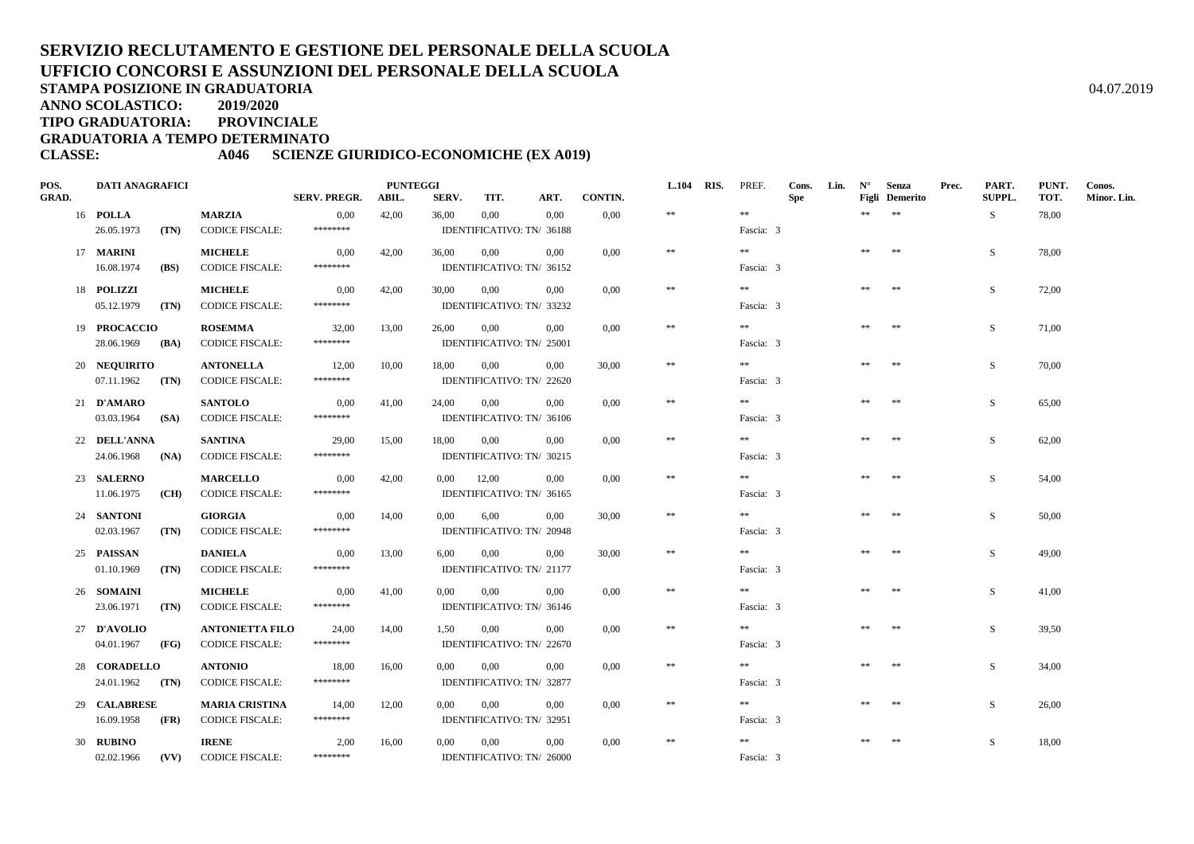**ANNO SCOLASTICO:2019/2020**

**TIPO GRADUATORIA: PROVINCIALE**

**GRADUATORIA A TEMPO DETERMINATO**

## **CLASSE: A046 SCIENZE GIURIDICO-ECONOMICHE (EX A019)**

| POS.         | <b>DATI ANAGRAFICI</b> |                        |                     | <b>PUNTEGGI</b> |              |          |                           |         | <b>L.104 RIS.</b> | PREF.     | Cons.      | Lin. | $N^{\circ}$ | Senza                 | Prec. | PART.  | PUNT. | Conos.      |
|--------------|------------------------|------------------------|---------------------|-----------------|--------------|----------|---------------------------|---------|-------------------|-----------|------------|------|-------------|-----------------------|-------|--------|-------|-------------|
| <b>GRAD.</b> |                        |                        | <b>SERV. PREGR.</b> | ABIL.           | SERV.        | TIT.     | ART.                      | CONTIN. |                   |           | <b>Spe</b> |      |             | <b>Figli</b> Demerito |       | SUPPL. | TOT.  | Minor. Lin. |
|              | 16 POLLA               | <b>MARZIA</b>          | 0.00                | 42,00           | 36,00        | $0.00\,$ | 0.00                      | 0,00    | $\ast\ast$        | $\pm\pm$  |            |      | **          | $\pm\pm$              |       | S.     | 78,00 |             |
|              | 26.05.1973<br>(TN)     | <b>CODICE FISCALE:</b> | ********            |                 |              |          | IDENTIFICATIVO: TN/ 36188 |         |                   | Fascia: 3 |            |      |             |                       |       |        |       |             |
|              | 17 <b>MARINI</b>       | <b>MICHELE</b>         | 0,00                | 42,00           | 36,00        | $0.00\,$ | 0.00                      | 0.00    | $\pm\pm$          | **        |            |      | **          | **                    |       | S.     | 78,00 |             |
|              | 16.08.1974<br>(BS)     | <b>CODICE FISCALE:</b> | ********            |                 |              |          | IDENTIFICATIVO: TN/ 36152 |         |                   | Fascia: 3 |            |      |             |                       |       |        |       |             |
|              | 18 POLIZZI             | <b>MICHELE</b>         | 0,00                | 42,00           | 30,00        | 0,00     | 0.00                      | 0.00    | $\pm\pm$          | **        |            |      | **          | $\pm\pm$              |       | S      | 72,00 |             |
|              | 05.12.1979<br>(TN)     | <b>CODICE FISCALE:</b> | ********            |                 |              |          | IDENTIFICATIVO: TN/ 33232 |         |                   | Fascia: 3 |            |      |             |                       |       |        |       |             |
|              | 19 PROCACCIO           | <b>ROSEMMA</b>         | 32,00               | 13,00           | 26,00        | 0,00     | 0,00                      | 0.00    | $\ast\ast$        | $\gg \gg$ |            |      | **          | $* *$                 |       | S      | 71,00 |             |
|              | 28.06.1969<br>(BA)     | <b>CODICE FISCALE:</b> | ********            |                 |              |          | IDENTIFICATIVO: TN/ 25001 |         |                   | Fascia: 3 |            |      |             |                       |       |        |       |             |
|              | 20 NEQUIRITO           | <b>ANTONELLA</b>       | 12,00               | 10,00           | 18,00        | $0.00\,$ | 0.00                      | 30,00   | $\ast\ast$        | $\pm\pm$  |            |      | $\pm\pm$    | $**$                  |       | S      | 70,00 |             |
|              | 07.11.1962<br>(TN)     | <b>CODICE FISCALE:</b> | ********            |                 |              |          | IDENTIFICATIVO: TN/ 22620 |         |                   | Fascia: 3 |            |      |             |                       |       |        |       |             |
|              | 21 D'AMARO             | <b>SANTOLO</b>         | 0,00                | 41,00           | 24,00        | 0,00     | 0,00                      | 0,00    | $\pm\pm$          | **        |            |      | **          | $\pm\pm$              |       | S      | 65,00 |             |
|              | 03.03.1964<br>(SA)     | <b>CODICE FISCALE:</b> | ********            |                 |              |          | IDENTIFICATIVO: TN/ 36106 |         |                   | Fascia: 3 |            |      |             |                       |       |        |       |             |
|              | 22 DELL'ANNA           | <b>SANTINA</b>         | 29,00               | 15,00           | 18,00        | 0,00     | 0,00                      | 0,00    | $\ast\ast$        | $\gg \gg$ |            |      | $\pm\pm$    | $\pm\pm$              |       | S      | 62,00 |             |
|              | 24.06.1968<br>(NA)     | <b>CODICE FISCALE:</b> | ********            |                 |              |          | IDENTIFICATIVO: TN/ 30215 |         |                   | Fascia: 3 |            |      |             |                       |       |        |       |             |
|              | 23 SALERNO             | <b>MARCELLO</b>        | 0.00                | 42,00           | $0,00$ 12,00 |          | 0.00                      | 0.00    | $\ast$            | $* *$     |            |      | **          | $\pm\pm$              |       | S      | 54,00 |             |
|              | 11.06.1975<br>(CH)     | <b>CODICE FISCALE:</b> | ********            |                 |              |          | IDENTIFICATIVO: TN/ 36165 |         |                   | Fascia: 3 |            |      |             |                       |       |        |       |             |
|              | 24 SANTONI             | <b>GIORGIA</b>         | 0.00                | 14,00           | $0.00\,$     | 6.00     | 0.00                      | 30.00   | $\ast\ast$        | $* *$     |            |      | **          | $**$                  |       | S      | 50.00 |             |
|              | 02.03.1967<br>(TN)     | <b>CODICE FISCALE:</b> | ********            |                 |              |          | IDENTIFICATIVO: TN/ 20948 |         |                   | Fascia: 3 |            |      |             |                       |       |        |       |             |
|              | 25 PAISSAN             | <b>DANIELA</b>         | 0.00                | 13,00           | 6,00         | 0,00     | 0.00                      | 30.00   | $\ast$            | $* *$     |            |      | **          | $\ast\ast$            |       | S.     | 49,00 |             |
|              | 01.10.1969<br>(TN)     | <b>CODICE FISCALE:</b> | ********            |                 |              |          | IDENTIFICATIVO: TN/ 21177 |         |                   | Fascia: 3 |            |      |             |                       |       |        |       |             |
|              | 26 SOMAINI             | <b>MICHELE</b>         | 0,00                | 41,00           | $0.00\,$     | 0,00     | 0.00                      | 0.00    | $\ast\ast$        | $\pm\pm$  |            |      | **          | $\pm\pm$              |       | S.     | 41,00 |             |
|              | 23.06.1971<br>(TN)     | <b>CODICE FISCALE:</b> | ********            |                 |              |          | IDENTIFICATIVO: TN/ 36146 |         |                   | Fascia: 3 |            |      |             |                       |       |        |       |             |
|              | 27 D'AVOLIO            | <b>ANTONIETTA FILO</b> | 24,00               | 14,00           | 1,50         | 0,00     | 0.00                      | 0,00    | $\pm\pm$          | $* *$     |            |      | $\pm\pm$    | $\pm\pm$              |       | S.     | 39,50 |             |
|              | 04.01.1967<br>(FG)     | <b>CODICE FISCALE:</b> | ********            |                 |              |          | IDENTIFICATIVO: TN/ 22670 |         |                   | Fascia: 3 |            |      |             |                       |       |        |       |             |
|              | 28 CORADELLO           | <b>ANTONIO</b>         | 18,00               | 16,00           | 0.00         | $0.00\,$ | 0,00                      | 0,00    | $\ast\ast$        | **        |            |      | **          | $\pm\pm$              |       | S      | 34,00 |             |
|              | 24.01.1962 (TN)        | <b>CODICE FISCALE:</b> | ********            |                 |              |          | IDENTIFICATIVO: TN/ 32877 |         |                   | Fascia: 3 |            |      |             |                       |       |        |       |             |
|              | 29 CALABRESE           | <b>MARIA CRISTINA</b>  | 14,00               | 12,00           | $0.00\,$     | 0,00     | 0,00                      | 0.00    | $\ast\ast$        | $\pm\pm$  |            |      | $\pm\pm$    | $\pm\pm$              |       | S.     | 26,00 |             |
|              | 16.09.1958<br>(FR)     | <b>CODICE FISCALE:</b> | ********            |                 |              |          | IDENTIFICATIVO: TN/ 32951 |         |                   | Fascia: 3 |            |      |             |                       |       |        |       |             |
|              | 30 RUBINO              | <b>IRENE</b>           | 2,00                | 16,00           | $0.00\,$     | $0.00\,$ | 0.00                      | 0.00    | $\pm\pm$          | $\pm\pm$  |            |      | $\pm\pm$    | $\pm\pm$              |       | S      | 18,00 |             |
|              | 02.02.1966<br>(VV)     | <b>CODICE FISCALE:</b> | ********            |                 |              |          | IDENTIFICATIVO: TN/ 26000 |         |                   | Fascia: 3 |            |      |             |                       |       |        |       |             |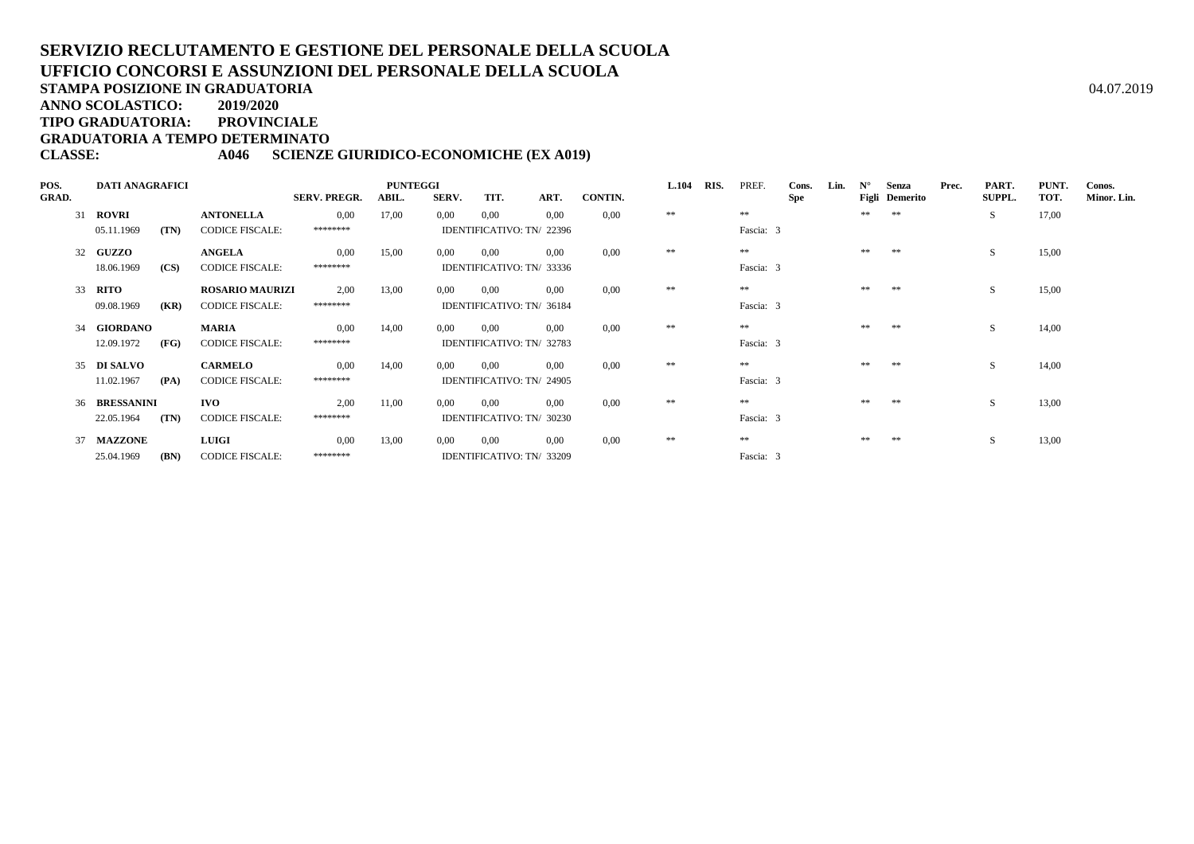**ANNO SCOLASTICO:2019/2020**

**TIPO GRADUATORIA: PROVINCIALE**

**GRADUATORIA A TEMPO DETERMINATO**

## **CLASSE: A046 SCIENZE GIURIDICO-ECONOMICHE (EX A019)**

| POS.         | <b>DATI ANAGRAFICI</b> |      |                        | <b>PUNTEGGI</b>     |       |       |                           |      |                |          | RIS. | PREF.     | Cons.      | Lin. | $N^{\circ}$ | Senza          | Prec. | PART.  | PUNT. | Conos.      |
|--------------|------------------------|------|------------------------|---------------------|-------|-------|---------------------------|------|----------------|----------|------|-----------|------------|------|-------------|----------------|-------|--------|-------|-------------|
| <b>GRAD.</b> |                        |      |                        | <b>SERV. PREGR.</b> | ABIL. | SERV. | TIT.                      | ART. | <b>CONTIN.</b> |          |      |           | <b>Spe</b> |      |             | Figli Demerito |       | SUPPL. | TOT.  | Minor. Lin. |
|              | 31 ROVRI               |      | <b>ANTONELLA</b>       | 0,00                | 17,00 | 0.00  | 0.00                      | 0.00 | 0.00           | $\pm\pm$ |      | **        |            |      | **          | **             |       | S.     | 17,00 |             |
|              | 05.11.1969             | (TN) | <b>CODICE FISCALE:</b> | ********            |       |       | IDENTIFICATIVO: TN/ 22396 |      |                |          |      | Fascia: 3 |            |      |             |                |       |        |       |             |
|              | 32 GUZZO               |      | <b>ANGELA</b>          | 0.00                | 15,00 | 0,00  | 0.00                      | 0.00 | 0.00           | **       |      | **        |            |      | **          | **             |       | S.     | 15,00 |             |
|              | 18.06.1969             | (CS) | <b>CODICE FISCALE:</b> | ********            |       |       | IDENTIFICATIVO: TN/ 33336 |      |                |          |      | Fascia: 3 |            |      |             |                |       |        |       |             |
|              | 33 <b>RITO</b>         |      | <b>ROSARIO MAURIZI</b> | 2,00                | 13,00 | 0,00  | 0.00                      | 0.00 | 0.00           | **       |      | $**$      |            |      | **          | **             |       | S.     | 15,00 |             |
|              | 09.08.1969             | (KR) | <b>CODICE FISCALE:</b> | ********            |       |       | IDENTIFICATIVO: TN/ 36184 |      |                |          |      | Fascia: 3 |            |      |             |                |       |        |       |             |
|              | 34 GIORDANO            |      | <b>MARIA</b>           | 0.00                | 14,00 | 0.00  | 0.00                      | 0.00 | 0.00           | **       |      | **        |            |      | **          | **             |       | S.     | 14,00 |             |
|              | 12.09.1972             | (FG) | <b>CODICE FISCALE:</b> | ********            |       |       | IDENTIFICATIVO: TN/ 32783 |      |                |          |      | Fascia: 3 |            |      |             |                |       |        |       |             |
|              | 35 DI SALVO            |      | <b>CARMELO</b>         | 0.00                | 14,00 | 0.00  | 0.00                      | 0.00 | 0.00           | **       |      | **        |            |      | **          | **             |       | S.     | 14,00 |             |
|              | 11.02.1967             | (PA) | <b>CODICE FISCALE:</b> | ********            |       |       | IDENTIFICATIVO: TN/ 24905 |      |                |          |      | Fascia: 3 |            |      |             |                |       |        |       |             |
|              | 36 BRESSANINI          |      | <b>IVO</b>             | 2.00                | 11,00 | 0,00  | 0.00                      | 0.00 | 0.00           | **       |      | **        |            |      | **          | **             |       | S      | 13,00 |             |
|              | 22.05.1964             | (TN) | <b>CODICE FISCALE:</b> | ********            |       |       | IDENTIFICATIVO: TN/ 30230 |      |                |          |      | Fascia: 3 |            |      |             |                |       |        |       |             |
|              | 37 MAZZONE             |      | <b>LUIGI</b>           | 0.00                | 13,00 | 0,00  | 0.00                      | 0.00 | 0.00           | **       |      | **        |            |      | **          | **             |       | S      | 13,00 |             |
|              | 25.04.1969             | (BN) | <b>CODICE FISCALE:</b> | ********            |       |       | IDENTIFICATIVO: TN/ 33209 |      |                |          |      | Fascia: 3 |            |      |             |                |       |        |       |             |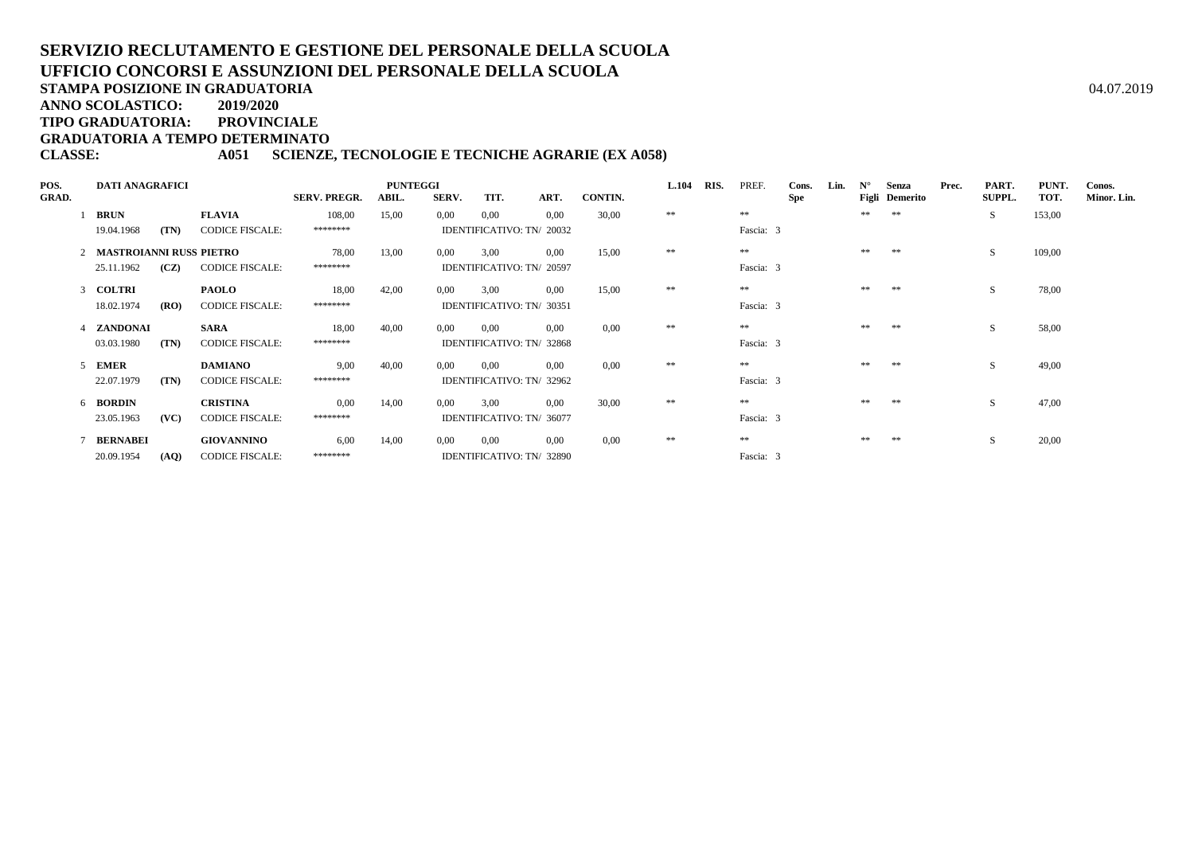# **SERVIZIO RECLUTAMENTO E GESTIONE DEL PERSONALE DELLA SCUOLAUFFICIO CONCORSI E ASSUNZIONI DEL PERSONALE DELLA SCUOLA**A  $04.07.2019$

**STAMPA POSIZIONE IN GRADUATORIA**

**ANNO SCOLASTICO:2019/2020**

**TIPO GRADUATORIA: PROVINCIALE**

**GRADUATORIA A TEMPO DETERMINATO**

### **CLASSE: A051 SCIENZE, TECNOLOGIE E TECNICHE AGRARIE (EX A058)**

| POS.         | <b>DATI ANAGRAFICI</b>    |                        |                     |       | <b>L.104</b> | RIS.                      | PREF. | Cons.   | Lin.     | $N^{\circ}$ | Senza      | Prec.      | PART. | PUNT. | Conos.         |  |               |        |             |
|--------------|---------------------------|------------------------|---------------------|-------|--------------|---------------------------|-------|---------|----------|-------------|------------|------------|-------|-------|----------------|--|---------------|--------|-------------|
| <b>GRAD.</b> |                           |                        | <b>SERV. PREGR.</b> | ABIL. | SERV.        | TIT.                      | ART.  | CONTIN. |          |             |            | <b>Spe</b> |       |       | Figli Demerito |  | <b>SUPPL.</b> | TOT.   | Minor. Lin. |
|              | <b>BRUN</b>               | <b>FLAVIA</b>          | 108,00              | 15,00 | 0,00         | 0,00                      | 0.00  | 30,00   | $\pm\pm$ |             | **         |            |       | **    | **             |  | S.            | 153,00 |             |
|              | (TN)<br>19.04.1968        | <b>CODICE FISCALE:</b> | ********            |       |              | IDENTIFICATIVO: TN/ 20032 |       |         |          |             | Fascia: 3  |            |       |       |                |  |               |        |             |
|              | 2 MASTROIANNI RUSS PIETRO |                        | 78,00               | 13,00 | 0.00         | 3.00                      | 0.00  | 15,00   | **       |             | **         |            |       | **    | **             |  | S.            | 109,00 |             |
|              | 25.11.1962<br>(CZ)        | <b>CODICE FISCALE:</b> | ********            |       |              | IDENTIFICATIVO: TN/ 20597 |       |         |          |             | Fascia: 3  |            |       |       |                |  |               |        |             |
|              | 3 COLTRI                  | <b>PAOLO</b>           | 18,00               | 42,00 | 0,00         | 3,00                      | 0.00  | 15,00   | **       |             | $\ast\ast$ |            |       | **    | **             |  | S.            | 78,00  |             |
|              | 18.02.1974<br>(RO)        | <b>CODICE FISCALE:</b> | ********            |       |              | IDENTIFICATIVO: TN/ 30351 |       |         |          |             | Fascia: 3  |            |       |       |                |  |               |        |             |
|              | 4 ZANDONAI                | <b>SARA</b>            | 18,00               | 40,00 | 0,00         | 0.00                      | 0.00  | 0.00    | **       |             | $\ast\ast$ |            |       | **    | **             |  | S             | 58,00  |             |
|              | 03.03.1980<br>(TN)        | <b>CODICE FISCALE:</b> | ********            |       |              | IDENTIFICATIVO: TN/ 32868 |       |         |          |             | Fascia: 3  |            |       |       |                |  |               |        |             |
|              | 5 EMER                    | <b>DAMIANO</b>         | 9.00                | 40,00 | 0.00         | 0.00                      | 0.00  | 0.00    | **       |             | **         |            |       | **    | **             |  | S             | 49,00  |             |
|              | 22.07.1979<br>(TN)        | <b>CODICE FISCALE:</b> | ********            |       |              | IDENTIFICATIVO: TN/ 32962 |       |         |          |             | Fascia: 3  |            |       |       |                |  |               |        |             |
|              | 6 BORDIN                  | <b>CRISTINA</b>        | 0.00                | 14,00 | 0.00         | 3.00                      | 0.00  | 30,00   | **       |             | **         |            |       | **    | **             |  | S             | 47,00  |             |
|              | (VC)<br>23.05.1963        | <b>CODICE FISCALE:</b> | ********            |       |              | IDENTIFICATIVO: TN/ 36077 |       |         |          |             | Fascia: 3  |            |       |       |                |  |               |        |             |
|              | 7 BERNABEI                | <b>GIOVANNINO</b>      | 6.00                | 14,00 | 0,00         | 0.00                      | 0.00  | 0.00    | **       |             | **         |            |       |       | **             |  | S             | 20,00  |             |
|              | 20.09.1954<br>(AQ)        | <b>CODICE FISCALE:</b> | ********            |       |              | IDENTIFICATIVO: TN/ 32890 |       |         |          |             | Fascia: 3  |            |       |       |                |  |               |        |             |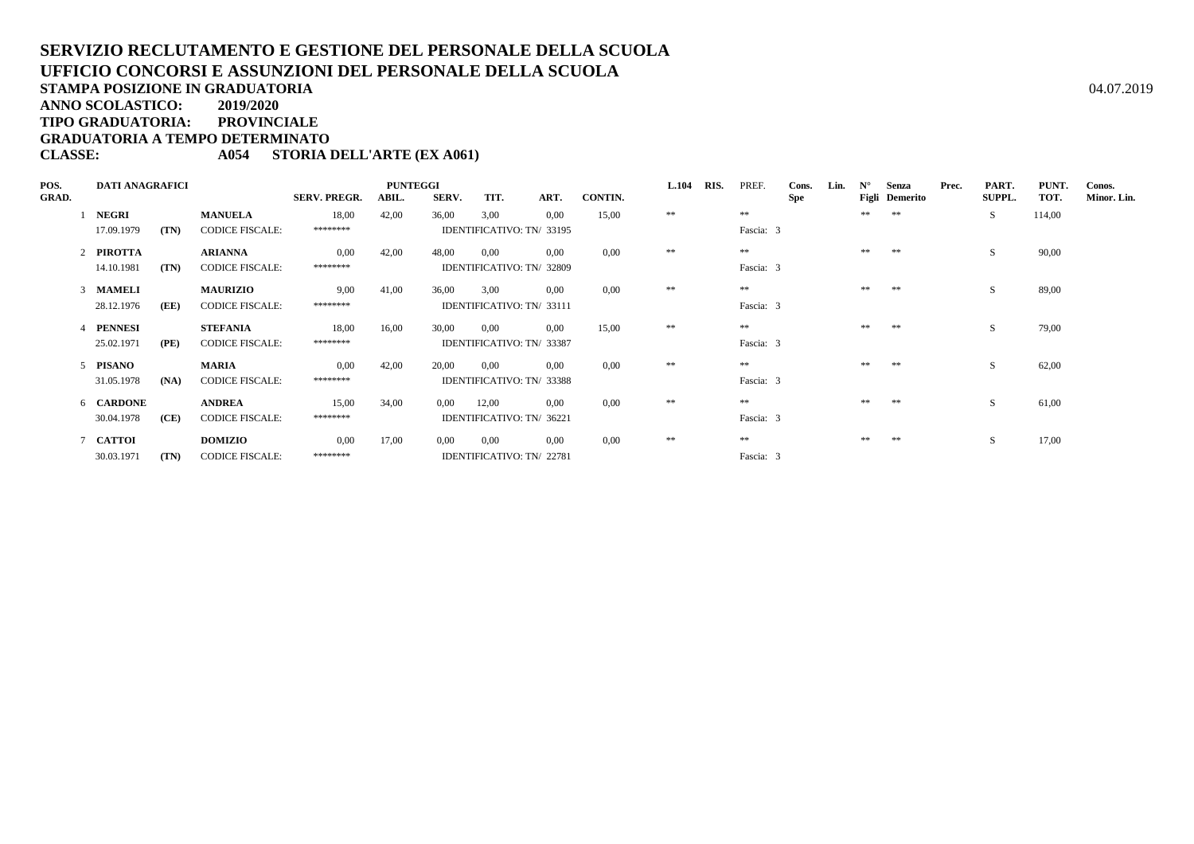**ANNO SCOLASTICO:2019/2020**

**TIPO GRADUATORIA: PROVINCIALE**

**GRADUATORIA A TEMPO DETERMINATO**

### **CLASSE: A054 STORIA DELL'ARTE (EX A061)**

| POS.         | <b>DATI ANAGRAFICI</b> |      |                        | <b>PUNTEGGI</b>     |       |       |                           |      |         |          | RIS. | PREF.      | Cons.      | Lin. | $N^{\circ}$ | Senza          | Prec. | PART.         | PUNT.  | Conos.      |
|--------------|------------------------|------|------------------------|---------------------|-------|-------|---------------------------|------|---------|----------|------|------------|------------|------|-------------|----------------|-------|---------------|--------|-------------|
| <b>GRAD.</b> |                        |      |                        | <b>SERV. PREGR.</b> | ABIL. | SERV. | TIT.                      | ART. | CONTIN. |          |      |            | <b>Spe</b> |      |             | Figli Demerito |       | <b>SUPPL.</b> | TOT.   | Minor. Lin. |
|              | 1 NEGRI                |      | <b>MANUELA</b>         | 18,00               | 42,00 | 36,00 | 3,00                      | 0.00 | 15,00   | $\pm\pm$ |      | **         |            |      | **          | **             |       | S.            | 114,00 |             |
|              | 17.09.1979             | (TN) | <b>CODICE FISCALE:</b> | ********            |       |       | IDENTIFICATIVO: TN/ 33195 |      |         |          |      | Fascia: 3  |            |      |             |                |       |               |        |             |
|              | 2 PIROTTA              |      | <b>ARIANNA</b>         | 0.00                | 42,00 | 48,00 | 0.00                      | 0.00 | 0.00    | **       |      | **         |            |      | **          | **             |       | S.            | 90,00  |             |
|              | 14.10.1981             | (TN) | <b>CODICE FISCALE:</b> | ********            |       |       | IDENTIFICATIVO: TN/ 32809 |      |         |          |      | Fascia: 3  |            |      |             |                |       |               |        |             |
|              | 3 MAMELI               |      | <b>MAURIZIO</b>        | 9,00                | 41,00 | 36,00 | 3,00                      | 0.00 | 0,00    | $\pm\pm$ |      | $**$       |            |      | **          | **             |       | S             | 89,00  |             |
|              | 28.12.1976             | (EE) | <b>CODICE FISCALE:</b> | ********            |       |       | IDENTIFICATIVO: TN/ 33111 |      |         |          |      | Fascia: 3  |            |      |             |                |       |               |        |             |
|              | 4 PENNESI              |      | <b>STEFANIA</b>        | 18,00               | 16,00 | 30,00 | 0,00                      | 0.00 | 15,00   | **       |      | $\ast\ast$ |            |      | **          | **             |       | S             | 79,00  |             |
|              | 25.02.1971             | (PE) | <b>CODICE FISCALE:</b> | ********            |       |       | IDENTIFICATIVO: TN/ 33387 |      |         |          |      | Fascia: 3  |            |      |             |                |       |               |        |             |
|              | 5 PISANO               |      | <b>MARIA</b>           | 0.00                | 42,00 | 20,00 | 0.00                      | 0.00 | 0.00    | **       |      | **         |            |      | **          | **             |       | S             | 62,00  |             |
|              | 31.05.1978             | (NA) | <b>CODICE FISCALE:</b> | ********            |       |       | IDENTIFICATIVO: TN/ 33388 |      |         |          |      | Fascia: 3  |            |      |             |                |       |               |        |             |
|              | 6 CARDONE              |      | <b>ANDREA</b>          | 15,00               | 34,00 | 0.00  | 12,00                     | 0.00 | 0.00    | **       |      | **         |            |      | **          | **             |       | S             | 61,00  |             |
|              | 30.04.1978             | (CE) | <b>CODICE FISCALE:</b> | ********            |       |       | IDENTIFICATIVO: TN/ 36221 |      |         |          |      | Fascia: 3  |            |      |             |                |       |               |        |             |
|              | 7 CATTOI               |      | <b>DOMIZIO</b>         | 0.00                | 17,00 | 0,00  | 0.00                      | 0.00 | 0.00    | **       |      | **         |            |      |             | **             |       | S             | 17,00  |             |
|              | 30.03.1971             | (TN) | <b>CODICE FISCALE:</b> | ********            |       |       | IDENTIFICATIVO: TN/22781  |      |         |          |      | Fascia: 3  |            |      |             |                |       |               |        |             |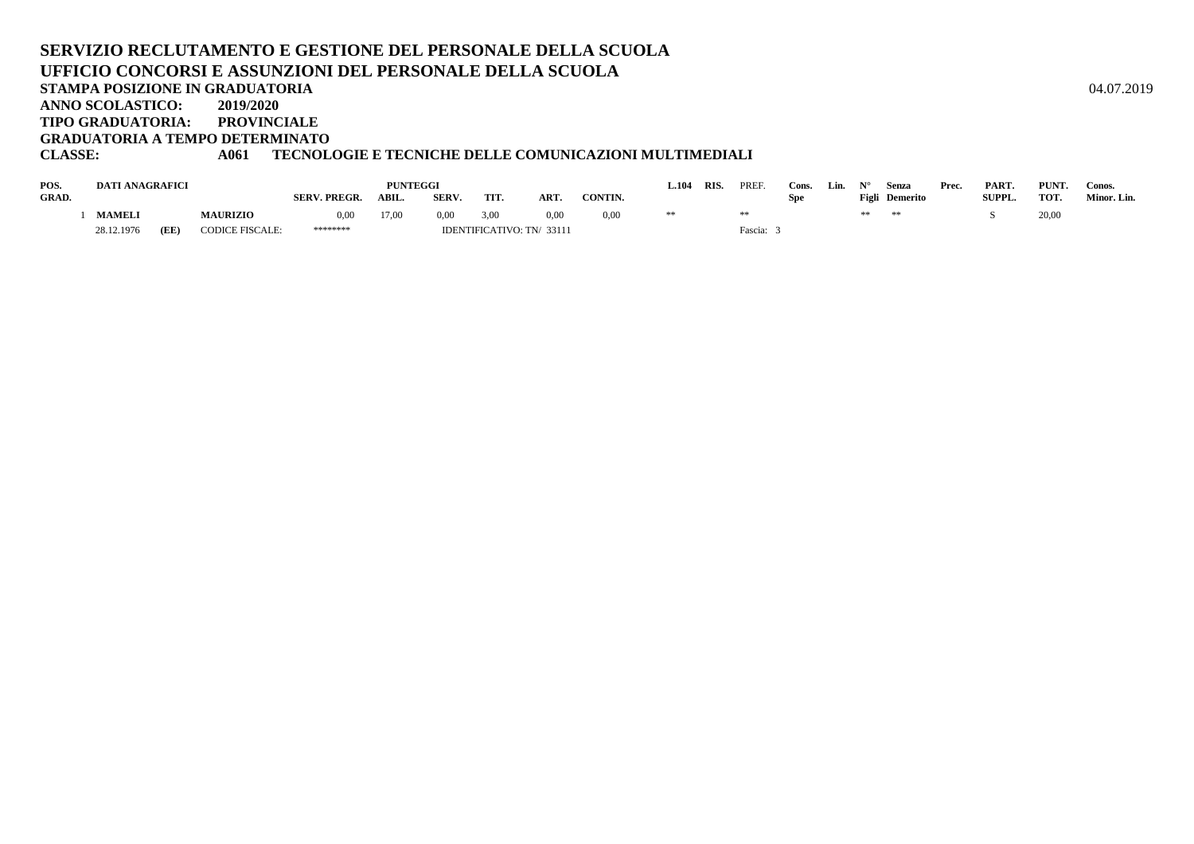#### **SERVIZIO RECLUTAMENTO E GESTIONE DEL PERSONALE DELLA SCUOLAUFFICIO CONCORSI E ASSUNZIONI DEL PERSONALE DELLA SCUOLASTAMPA POSIZIONE IN GRADUATORIA**A  $04.07.2019$ **ANNO SCOLASTICO: 2019/2020 TIPO GRADUATORIA: PROVINCIALEGRADUATORIA A TEMPO DETERMINATO**

## **CLASSE: A061 TECNOLOGIE E TECNICHE DELLE COMUNICAZIONI MULTIMEDIALI**

| POS.         | <b>DATI ANAGRAFICI</b> |      |                 |                    | <b>PUNTEGGI</b> |             |      |                           |         | 104   | RIS. | PREF    | Cons. | Lin. | Senza          | Prec. | PART.         | <b>PUNT</b> | Conos.      |
|--------------|------------------------|------|-----------------|--------------------|-----------------|-------------|------|---------------------------|---------|-------|------|---------|-------|------|----------------|-------|---------------|-------------|-------------|
| <b>GRAD.</b> |                        |      |                 | <b>SERV. PREGR</b> | ABIL.           | <b>SERV</b> | TIT. | ART.                      | CONTIN. |       |      |         | Spe   |      | Figli Demerito |       | <b>SUPPL.</b> | <b>TOT</b>  | Minor. Lin. |
|              | <b>MAMELI</b>          |      | <b>MAURIZIO</b> | 0.00               | 17,00           | 0,00        | 3,00 | 0,00                      | 0,00    | $* *$ |      |         |       |      |                |       |               | 20,00       |             |
|              | 28.12.1976             | (EE) | CODICE FISCALE: | ********           |                 |             |      | IDENTIFICATIVO: TN/ 33111 |         |       |      | Fascia: |       |      |                |       |               |             |             |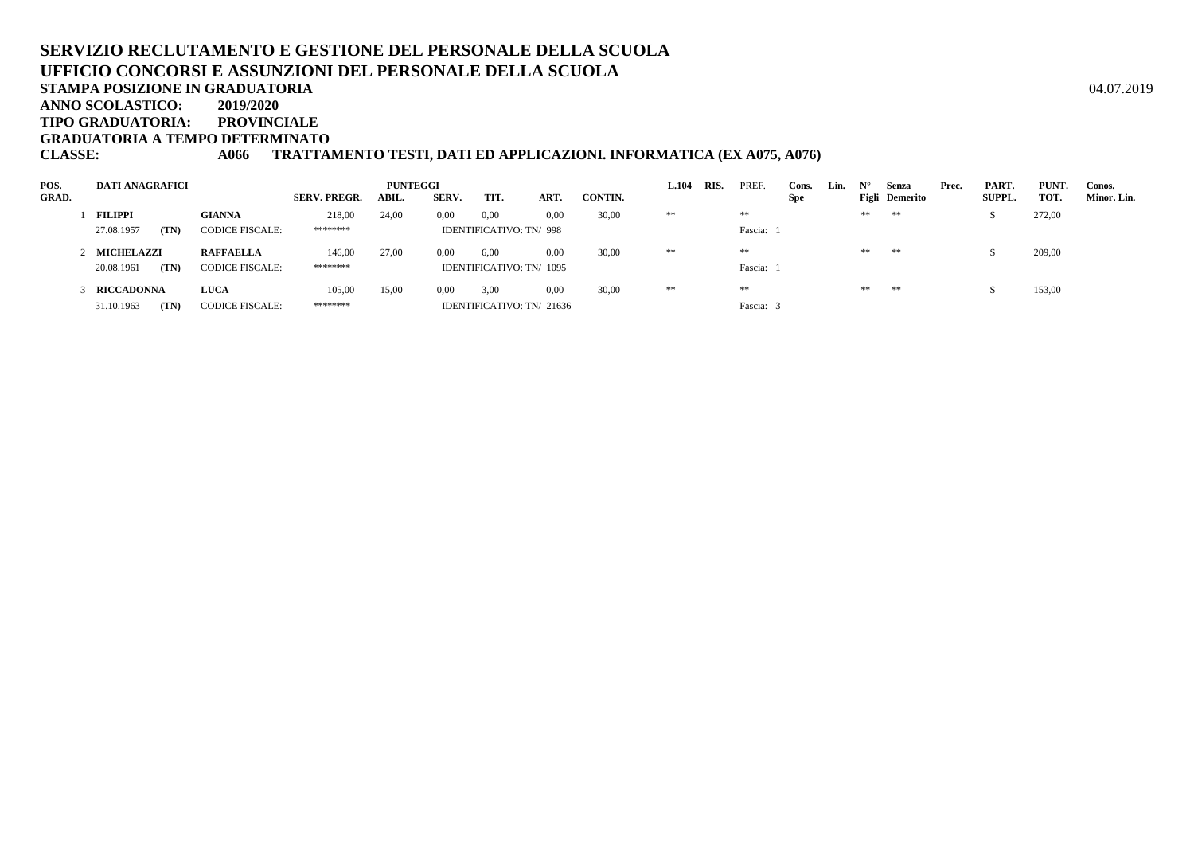**ANNO SCOLASTICO:2019/2020**

**TIPO GRADUATORIA: PROVINCIALE**

**GRADUATORIA A TEMPO DETERMINATO**

**CLASSE: A066 TRATTAMENTO TESTI, DATI ED APPLICAZIONI. INFORMATICA (EX A075, A076)**

| POS.         | <b>DATI ANAGRAFICI</b> |                        | <b>PUNTEGGI</b>     |       |       |                                |      |         |    | RIS. | <b>PREF</b> | Cons.      | Lin. | $N^{\circ}$ | Senza          | Prec. | PART.         | PUNT.  | Conos.      |
|--------------|------------------------|------------------------|---------------------|-------|-------|--------------------------------|------|---------|----|------|-------------|------------|------|-------------|----------------|-------|---------------|--------|-------------|
| <b>GRAD.</b> |                        |                        | <b>SERV. PREGR.</b> | ABIL. | SERV. | TIT.                           | ART. | CONTIN. |    |      |             | <b>Spe</b> |      |             | Figli Demerito |       | <b>SUPPL.</b> | TOT.   | Minor. Lin. |
|              | <b>FILIPPI</b>         | <b>GIANNA</b>          | 218,00              | 24,00 | 0,00  | 0,00                           | 0,00 | 30,00   | ** |      | $**$        |            |      | **          | **             |       |               | 272,00 |             |
|              | 27.08.1957<br>(TN)     | <b>CODICE FISCALE:</b> | ********            |       |       | <b>IDENTIFICATIVO: TN/ 998</b> |      |         |    |      | Fascia:     |            |      |             |                |       |               |        |             |
|              | 2 MICHELAZZI           | <b>RAFFAELLA</b>       | 146,00              | 27,00 | 0,00  | 6,00                           | 0.00 | 30,00   | ** |      | $**$        |            |      | **          | $\pm\pm$       |       |               | 209,00 |             |
|              | (TN)<br>20.08.1961     | <b>CODICE FISCALE:</b> | ********            |       |       | IDENTIFICATIVO: TN/ 1095       |      |         |    |      | Fascia:     |            |      |             |                |       |               |        |             |
|              | <b>RICCADONNA</b>      | <b>LUCA</b>            | 105,00              | 15,00 | 0.00  | 3,00                           | 0.00 | 30,00   | ** |      | $**$        |            |      | **          | **             |       |               | 153,00 |             |
|              | 31.10.1963<br>(TN)     | <b>CODICE FISCALE:</b> | ********            |       |       | IDENTIFICATIVO: TN/ 21636      |      |         |    |      | Fascia:     |            |      |             |                |       |               |        |             |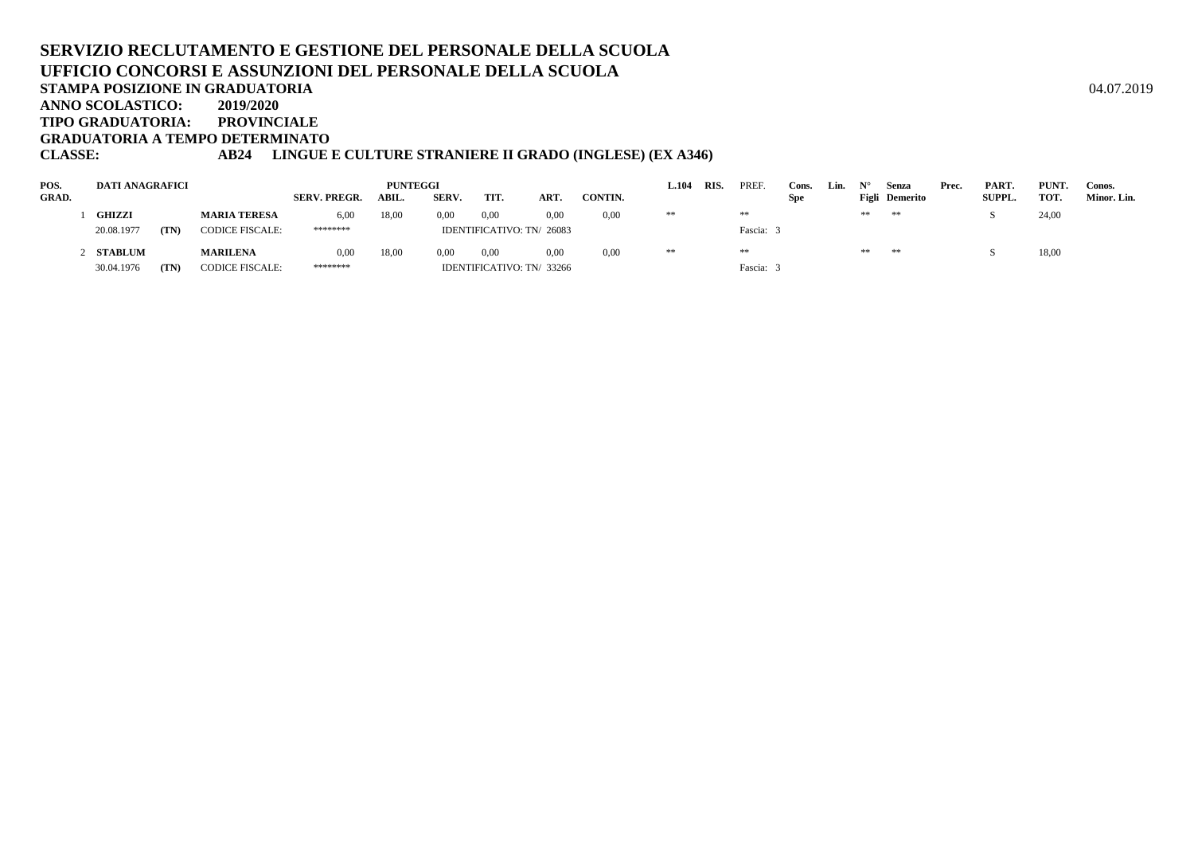**TIPO GRADUATORIA: PROVINCIALE**

**GRADUATORIA A TEMPO DETERMINATO**

### **CLASSE: AB24 LINGUE E CULTURE STRANIERE II GRADO (INGLESE) (EX A346)**

| POS.         | <b>DATI ANAGRAFICI</b> |      |                        |                     | <b>PUNTEGGI</b> |       |      |                           |         | 1.104 | <b>RIS</b> | PREF      | Cons.      | Lin. |    | Senza          | Prec. | PART.         | PUNT. | Conos.      |
|--------------|------------------------|------|------------------------|---------------------|-----------------|-------|------|---------------------------|---------|-------|------------|-----------|------------|------|----|----------------|-------|---------------|-------|-------------|
| <b>GRAD.</b> |                        |      |                        | <b>SERV. PREGR.</b> | ABIL.           | SERV. | TIT. | ART.                      | CONTIN. |       |            |           | <b>Spe</b> |      |    | Figli Demerito |       | <b>SUPPL.</b> | TOT.  | Minor. Lin. |
|              | <b>GHIZZI</b>          |      | <b>MARIA TERESA</b>    | 6,00                | 18,00           | 0.00  | 0,00 | 0.00                      | 0,00    | **    |            | **        |            |      | ** | **             |       |               | 24,00 |             |
|              | 20.08.1977             | (TN) | <b>CODICE FISCALE:</b> | ********            |                 |       |      | IDENTIFICATIVO: TN/ 26083 |         |       |            | Fascia: 3 |            |      |    |                |       |               |       |             |
|              | STABLUM                |      | <b>MARILENA</b>        | 0,00                | 18,00           | 0.00  | 0.00 | 0.00                      | 0.00    | **    |            | **        |            |      | ** | **             |       |               | 18,00 |             |
|              | 30.04.1976             | (TN) | <b>CODICE FISCALE:</b> | ********            |                 |       |      | IDENTIFICATIVO: TN/ 33266 |         |       |            | Fascia: 3 |            |      |    |                |       |               |       |             |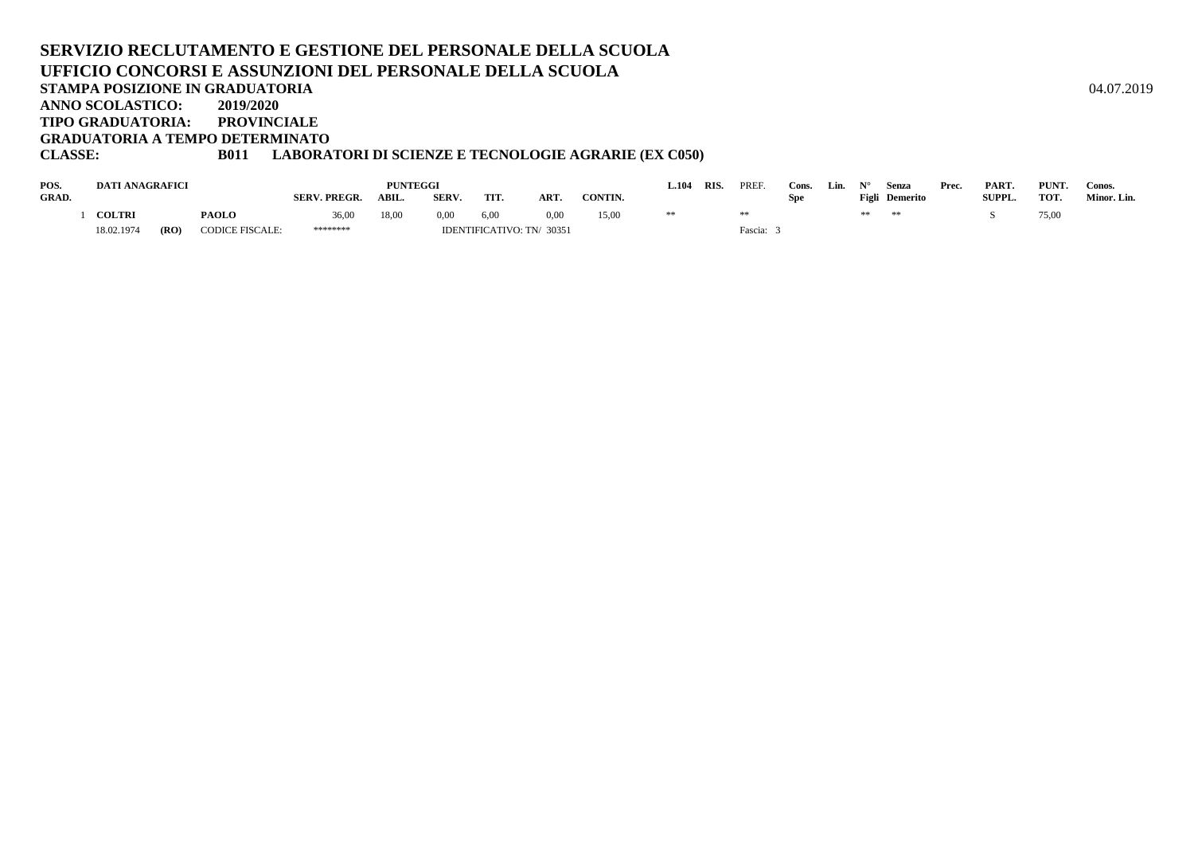#### **SERVIZIO RECLUTAMENTO E GESTIONE DEL PERSONALE DELLA SCUOLAUFFICIO CONCORSI E ASSUNZIONI DEL PERSONALE DELLA SCUOLASTAMPA POSIZIONE IN GRADUATORIA**A  $04.07.2019$ **ANNO SCOLASTICO: 2019/2020 TIPO GRADUATORIA: PROVINCIALEGRADUATORIA A TEMPO DETERMINATO**

#### **CLASSE: B011 LABORATORI DI SCIENZE E TECNOLOGIE AGRARIE (EX C050)**

| POS.         | DATI ANAGRAFICI |      |                        | <b>PUNTEGGI</b>     |       |       |                           |            |         |  | RIS | PREF.   | Cons. | Lin. |    | Senza          | Prec. | PART.  | PUNT. | Conos.      |
|--------------|-----------------|------|------------------------|---------------------|-------|-------|---------------------------|------------|---------|--|-----|---------|-------|------|----|----------------|-------|--------|-------|-------------|
| <b>GRAD.</b> |                 |      |                        | <b>SERV. PREGR.</b> | ABIL. | SERV. | TIT.                      | <b>ART</b> | CONTIN. |  |     |         | Spe   |      |    | Figli Demerito |       | SUPPL. | тот.  | Minor. Lin. |
|              | <b>COLTRI</b>   |      | <b>PAOLO</b>           | 36,00               | 18,00 | 0,00  | 6,00                      |            | 15,00   |  |     |         |       |      | ** | **             |       |        | 75,00 |             |
|              | 18.02.1974      | (RO) | <b>CODICE FISCALE:</b> | ********            |       |       | IDENTIFICATIVO: TN/ 30351 |            |         |  |     | Fascia: |       |      |    |                |       |        |       |             |